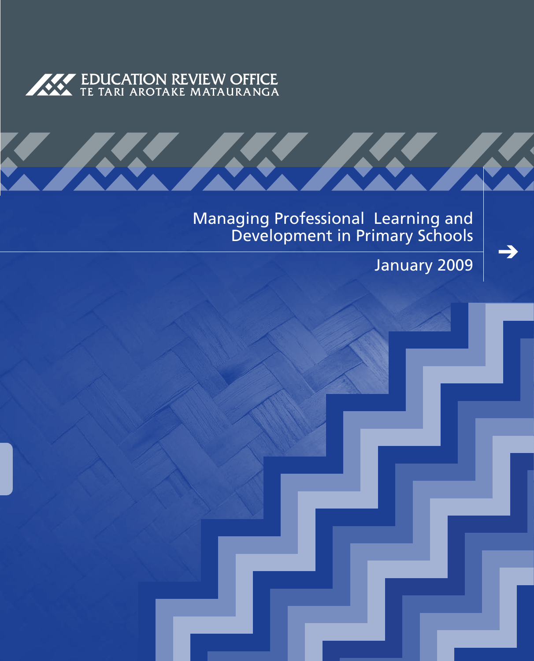

**AND STREET** 

Managing Professional Learning and Development in Primary Schools

<u> KKI I</u>

January 2009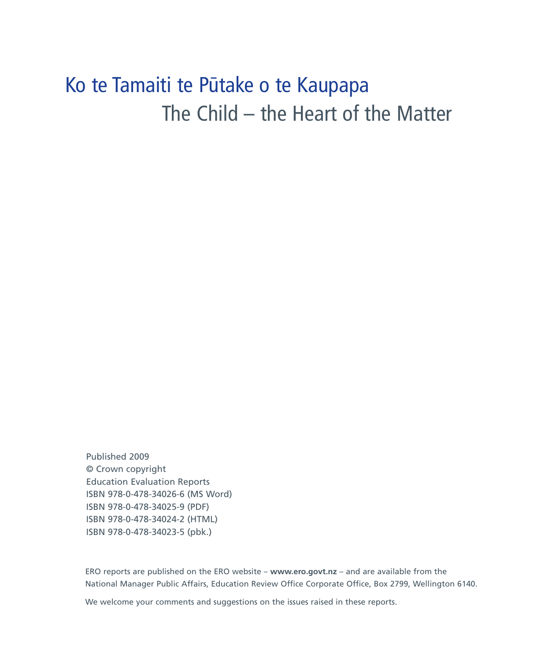### Ko te Tamaiti te Pūtake o te Kaupapa The Child – the Heart of the Matter

Published 2009 © Crown copyright Education Evaluation Reports ISBN 978-0-478-34026-6 (MS Word) ISBN 978-0-478-34025-9 (pdf) ISBN 978-0-478-34024-2 (html) ISBN 978-0-478-34023-5 (pbk.)

ERO reports are published on the ERO website – **www.ero.govt.nz** – and are available from the National Manager Public Affairs, Education Review Office Corporate Office, Box 2799, Wellington 6140.

We welcome your comments and suggestions on the issues raised in these reports.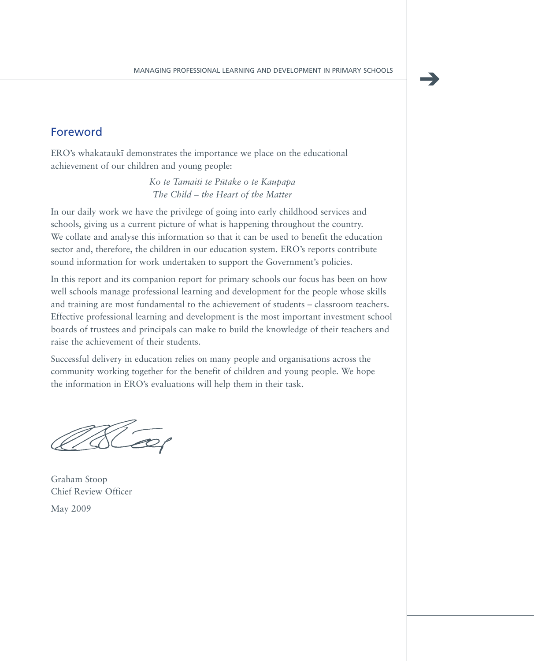### Foreword

ERO's whakataukī demonstrates the importance we place on the educational achievement of our children and young people:

> *Ko te Tamaiti te Pu¯take o te Kaupapa The Child – the Heart of the Matter*

In our daily work we have the privilege of going into early childhood services and schools, giving us a current picture of what is happening throughout the country. We collate and analyse this information so that it can be used to benefit the education sector and, therefore, the children in our education system. ERO's reports contribute sound information for work undertaken to support the Government's policies.

In this report and its companion report for primary schools our focus has been on how well schools manage professional learning and development for the people whose skills and training are most fundamental to the achievement of students – classroom teachers. Effective professional learning and development is the most important investment school boards of trustees and principals can make to build the knowledge of their teachers and raise the achievement of their students.

Successful delivery in education relies on many people and organisations across the community working together for the benefit of children and young people. We hope the information in ERO's evaluations will help them in their task.

Graham Stoop Chief Review Officer May 2009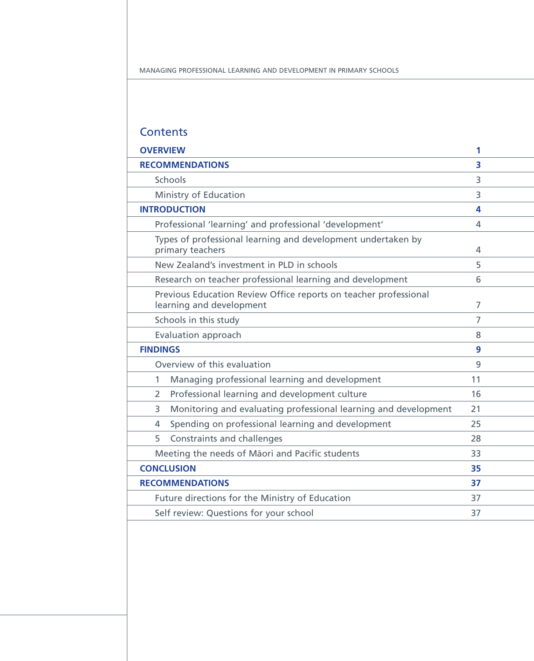### **Contents**

| <b>OVERVIEW</b>                                                                              | 1  |  |
|----------------------------------------------------------------------------------------------|----|--|
| <b>RECOMMENDATIONS</b>                                                                       | 3  |  |
| <b>Schools</b>                                                                               | 3  |  |
| Ministry of Education                                                                        | 3  |  |
| <b>INTRODUCTION</b>                                                                          | 4  |  |
| Professional 'learning' and professional 'development'                                       | 4  |  |
| Types of professional learning and development undertaken by<br>primary teachers<br>4        |    |  |
| New Zealand's investment in PLD in schools                                                   | 5  |  |
| Research on teacher professional learning and development                                    | 6  |  |
| Previous Education Review Office reports on teacher professional<br>learning and development | 7  |  |
| Schools in this study                                                                        | 7  |  |
| Evaluation approach<br>8                                                                     |    |  |
| <b>FINDINGS</b><br>9                                                                         |    |  |
| Overview of this evaluation<br>9                                                             |    |  |
| $\mathbf{1}$<br>Managing professional learning and development                               | 11 |  |
| Professional learning and development culture<br>2                                           | 16 |  |
| Monitoring and evaluating professional learning and development<br>3                         | 21 |  |
| Spending on professional learning and development<br>4                                       | 25 |  |
| Constraints and challenges<br>5                                                              | 28 |  |
| Meeting the needs of Māori and Pacific students                                              | 33 |  |
| <b>CONCLUSION</b><br>35                                                                      |    |  |
| <b>RECOMMENDATIONS</b><br>37                                                                 |    |  |
| Future directions for the Ministry of Education                                              | 37 |  |
| Self review: Questions for your school<br>37                                                 |    |  |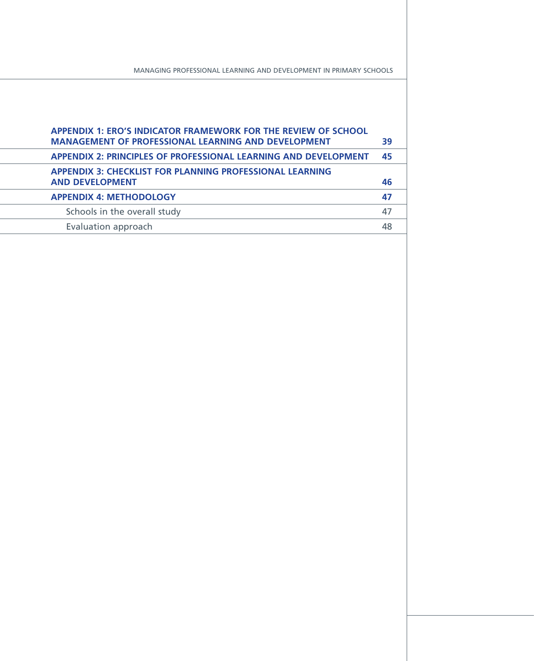| <b>APPENDIX 1: ERO'S INDICATOR FRAMEWORK FOR THE REVIEW OF SCHOOL</b><br><b>MANAGEMENT OF PROFESSIONAL LEARNING AND DEVELOPMENT</b> | 39 |
|-------------------------------------------------------------------------------------------------------------------------------------|----|
| <b>APPENDIX 2: PRINCIPLES OF PROFESSIONAL LEARNING AND DEVELOPMENT</b>                                                              | 45 |
| <b>APPENDIX 3: CHECKLIST FOR PLANNING PROFESSIONAL LEARNING</b><br><b>AND DEVELOPMENT</b>                                           | 46 |
| <b>APPENDIX 4: METHODOLOGY</b>                                                                                                      | 47 |
| Schools in the overall study                                                                                                        | 47 |
| Evaluation approach                                                                                                                 | 48 |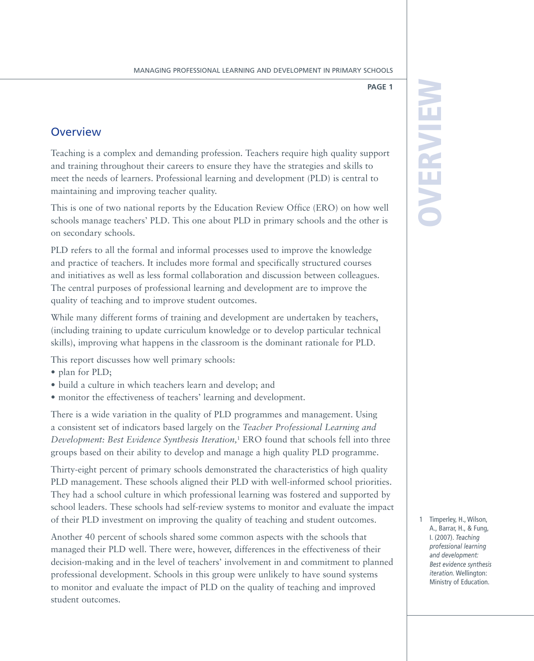### **Overview**

Teaching is a complex and demanding profession. Teachers require high quality support and training throughout their careers to ensure they have the strategies and skills to meet the needs of learners. Professional learning and development (PLD) is central to maintaining and improving teacher quality.

This is one of two national reports by the Education Review Office (ERO) on how well schools manage teachers' PLD. This one about PLD in primary schools and the other is on secondary schools.

PLD refers to all the formal and informal processes used to improve the knowledge and practice of teachers. It includes more formal and specifically structured courses and initiatives as well as less formal collaboration and discussion between colleagues. The central purposes of professional learning and development are to improve the quality of teaching and to improve student outcomes.

While many different forms of training and development are undertaken by teachers, (including training to update curriculum knowledge or to develop particular technical skills), improving what happens in the classroom is the dominant rationale for PLD.

This report discusses how well primary schools:

- plan for PLD;
- • build a culture in which teachers learn and develop; and
- monitor the effectiveness of teachers' learning and development.

There is a wide variation in the quality of PLD programmes and management. Using a consistent set of indicators based largely on the *Teacher Professional Learning and Development: Best Evidence Synthesis Iteration,*<sup>1</sup> ERO found that schools fell into three groups based on their ability to develop and manage a high quality PLD programme.

Thirty-eight percent of primary schools demonstrated the characteristics of high quality PLD management. These schools aligned their PLD with well-informed school priorities. They had a school culture in which professional learning was fostered and supported by school leaders. These schools had self-review systems to monitor and evaluate the impact of their PLD investment on improving the quality of teaching and student outcomes.

Another 40 percent of schools shared some common aspects with the schools that managed their PLD well. There were, however, differences in the effectiveness of their decision-making and in the level of teachers' involvement in and commitment to planned professional development. Schools in this group were unlikely to have sound systems to monitor and evaluate the impact of PLD on the quality of teaching and improved student outcomes.

# OVERVIEW

1 Timperley, H., Wilson,<br>
A., Barrar, H., & Fung,<br>
1. (2007). Teaching<br>
professional learning<br>
and development:<br> *Best evidence synthesis*<br> *iteration*. Wellington:<br>
Ministry of Education. 1 Timperley, H., Wilson, A., Barrar, H., & Fung, I. (2007). *Teaching professional learning and development: Best evidence synthesis iteration.* Wellington: Ministry of Education.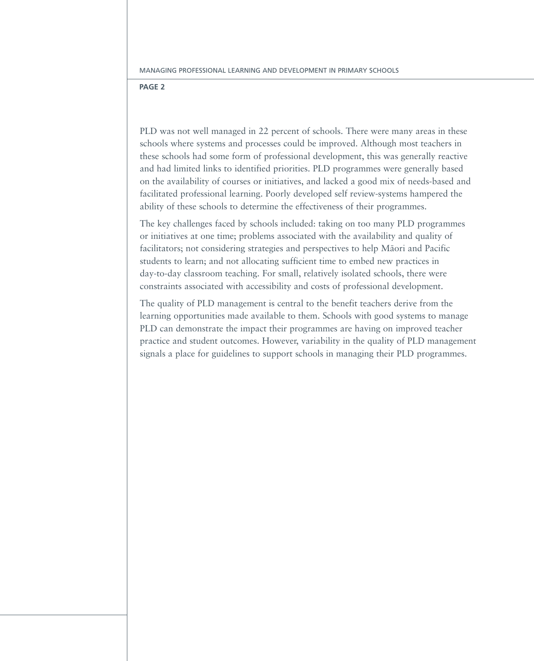PLD was not well managed in 22 percent of schools. There were many areas in these schools where systems and processes could be improved. Although most teachers in these schools had some form of professional development, this was generally reactive and had limited links to identified priorities. PLD programmes were generally based on the availability of courses or initiatives, and lacked a good mix of needs-based and facilitated professional learning. Poorly developed self review-systems hampered the ability of these schools to determine the effectiveness of their programmes.

The key challenges faced by schools included: taking on too many PLD programmes or initiatives at one time; problems associated with the availability and quality of facilitators; not considering strategies and perspectives to help Māori and Pacific students to learn; and not allocating sufficient time to embed new practices in day-to-day classroom teaching. For small, relatively isolated schools, there were constraints associated with accessibility and costs of professional development.

The quality of PLD management is central to the benefit teachers derive from the learning opportunities made available to them. Schools with good systems to manage PLD can demonstrate the impact their programmes are having on improved teacher practice and student outcomes. However, variability in the quality of PLD management signals a place for guidelines to support schools in managing their PLD programmes.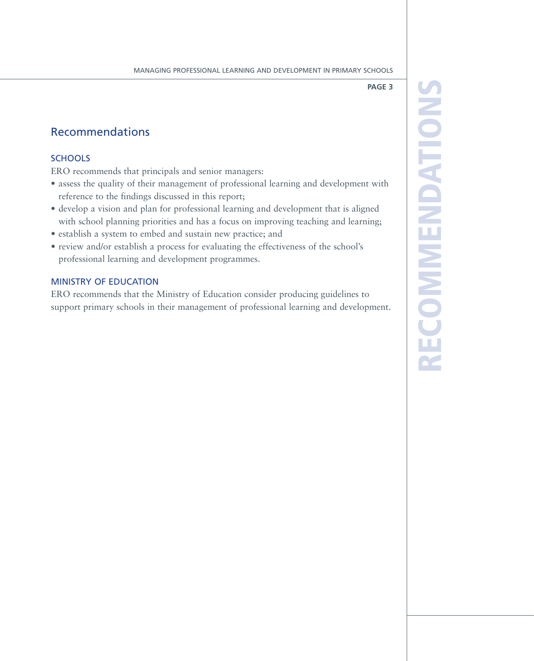### Recommendations

### **SCHOOLS**

ERO recommends that principals and senior managers:

- assess the quality of their management of professional learning and development with reference to the findings discussed in this report;
- develop a vision and plan for professional learning and development that is aligned with school planning priorities and has a focus on improving teaching and learning;
- • establish a system to embed and sustain new practice; and
- review and/or establish a process for evaluating the effectiveness of the school's professional learning and development programmes.

### Ministry of Education

ERO recommends that the Ministry of Education consider producing guidelines to support primary schools in their management of professional learning and development. RZ e  $\overline{\mathbf{C}}$ **OMM** endations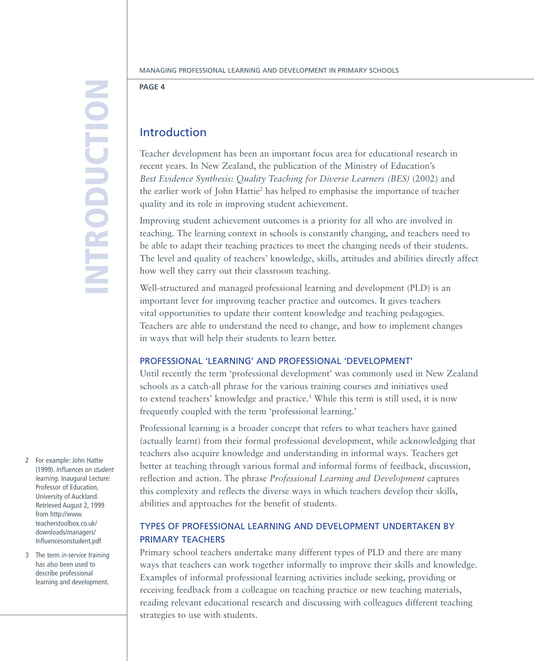## Introductio n

### **Page 4**

### Introduction

Teacher development has been an important focus area for educational research in recent years. In New Zealand, the publication of the Ministry of Education's *Best Evidence Synthesis: Quality Teaching for Diverse Learners (BES)* (2002) and the earlier work of John Hattie2 has helped to emphasise the importance of teacher quality and its role in improving student achievement.

Improving student achievement outcomes is a priority for all who are involved in teaching. The learning context in schools is constantly changing, and teachers need to be able to adapt their teaching practices to meet the changing needs of their students. The level and quality of teachers' knowledge, skills, attitudes and abilities directly affect how well they carry out their classroom teaching.

Well-structured and managed professional learning and development (PLD) is an important lever for improving teacher practice and outcomes. It gives teachers vital opportunities to update their content knowledge and teaching pedagogies. Teachers are able to understand the need to change, and how to implement changes in ways that will help their students to learn better.

### Professional 'learning' and professional 'development'

Until recently the term 'professional development' was commonly used in New Zealand schools as a catch-all phrase for the various training courses and initiatives used to extend teachers' knowledge and practice.<sup>3</sup> While this term is still used, it is now frequently coupled with the term 'professional learning.'

Professional learning is a broader concept that refers to what teachers have gained (actually learnt) from their formal professional development, while acknowledging that teachers also acquire knowledge and understanding in informal ways. Teachers get better at teaching through various formal and informal forms of feedback, discussion, reflection and action. The phrase *Professional Learning and Development* captures this complexity and reflects the diverse ways in which teachers develop their skills, abilities and approaches for the benefit of students.

### Types of professional learning and development undertaken by primary teachers

Primary school teachers undertake many different types of PLD and there are many ways that teachers can work together informally to improve their skills and knowledge. Examples of informal professional learning activities include seeking, providing or receiving feedback from a colleague on teaching practice or new teaching materials, reading relevant educational research and discussing with colleagues different teaching strategies to use with students.

- 2 For example: John Hattie (1999). *Influences on student learning.* Inaugural Lecture: Professor of Education, University of Auckland. Retrieved August 2, 1999 from http://www. teacherstoolbox.co.uk/ downloads/managers/ Influencesonstudent.pdf
- 3 The term *in-service training* has also been used to describe professional learning and development.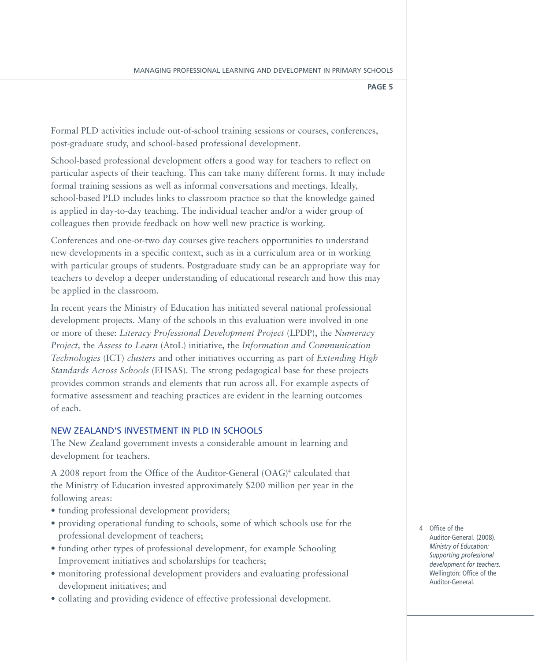Formal PLD activities include out-of-school training sessions or courses, conferences, post-graduate study, and school-based professional development.

School-based professional development offers a good way for teachers to reflect on particular aspects of their teaching. This can take many different forms. It may include formal training sessions as well as informal conversations and meetings. Ideally, school-based PLD includes links to classroom practice so that the knowledge gained is applied in day-to-day teaching. The individual teacher and/or a wider group of colleagues then provide feedback on how well new practice is working.

Conferences and one-or-two day courses give teachers opportunities to understand new developments in a specific context, such as in a curriculum area or in working with particular groups of students. Postgraduate study can be an appropriate way for teachers to develop a deeper understanding of educational research and how this may be applied in the classroom.

In recent years the Ministry of Education has initiated several national professional development projects. Many of the schools in this evaluation were involved in one or more of these: *Literacy Professional Development Project* (LPDP), the *Numeracy Project,* the *Assess to Learn* (AtoL) initiative, the *Information and Communication Technologies* (ICT) *clusters* and other initiatives occurring as part of *Extending High Standards Across Schools* (EHSAS). The strong pedagogical base for these projects provides common strands and elements that run across all. For example aspects of formative assessment and teaching practices are evident in the learning outcomes of each.

### New Zealand's investment in PLD in schools

The New Zealand government invests a considerable amount in learning and development for teachers.

A 2008 report from the Office of the Auditor-General (OAG)<sup>4</sup> calculated that the Ministry of Education invested approximately \$200 million per year in the following areas:

- funding professional development providers;
- providing operational funding to schools, some of which schools use for the professional development of teachers;
- funding other types of professional development, for example Schooling Improvement initiatives and scholarships for teachers;
- monitoring professional development providers and evaluating professional development initiatives; and
- collating and providing evidence of effective professional development.

4 Office of the Auditor-General. (2008). *Ministry of Education: Supporting professional development for teachers.*  Wellington: Office of the Auditor-General.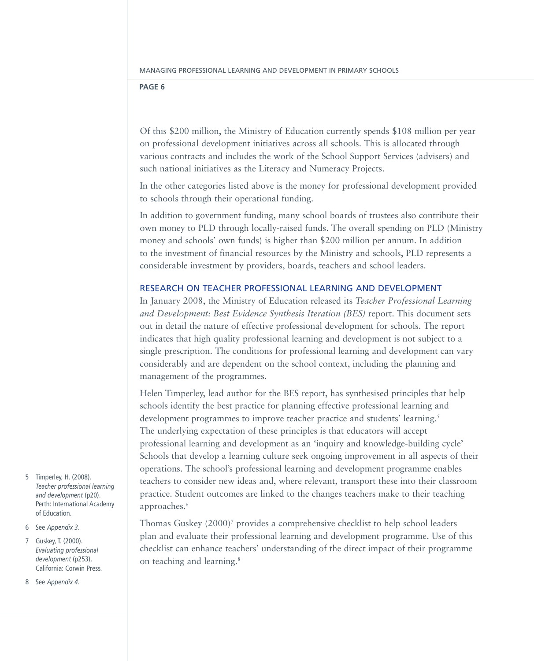Of this \$200 million, the Ministry of Education currently spends \$108 million per year on professional development initiatives across all schools. This is allocated through various contracts and includes the work of the School Support Services (advisers) and such national initiatives as the Literacy and Numeracy Projects.

In the other categories listed above is the money for professional development provided to schools through their operational funding.

In addition to government funding, many school boards of trustees also contribute their own money to PLD through locally-raised funds. The overall spending on PLD (Ministry money and schools' own funds) is higher than \$200 million per annum. In addition to the investment of financial resources by the Ministry and schools, PLD represents a considerable investment by providers, boards, teachers and school leaders.

### Research on teacher professional learning and development

In January 2008, the Ministry of Education released its *Teacher Professional Learning and Development: Best Evidence Synthesis Iteration (BES)* report. This document sets out in detail the nature of effective professional development for schools. The report indicates that high quality professional learning and development is not subject to a single prescription. The conditions for professional learning and development can vary considerably and are dependent on the school context, including the planning and management of the programmes.

Helen Timperley, lead author for the BES report, has synthesised principles that help schools identify the best practice for planning effective professional learning and development programmes to improve teacher practice and students' learning.<sup>5</sup> The underlying expectation of these principles is that educators will accept professional learning and development as an 'inquiry and knowledge-building cycle' Schools that develop a learning culture seek ongoing improvement in all aspects of their operations. The school's professional learning and development programme enables teachers to consider new ideas and, where relevant, transport these into their classroom practice. Student outcomes are linked to the changes teachers make to their teaching approaches.<sup>6</sup>

Thomas Guskey (2000)<sup>7</sup> provides a comprehensive checklist to help school leaders plan and evaluate their professional learning and development programme. Use of this checklist can enhance teachers' understanding of the direct impact of their programme on teaching and learning.8

- 5 Timperley, H. (2008). *Teacher professional learning and development* (p20). Perth: International Academy of Education.
- 6 See *Appendix 3.*

7 Guskey, T. (2000). *Evaluating professional development* (p253). California: Corwin Press.

8 See *Appendix 4.*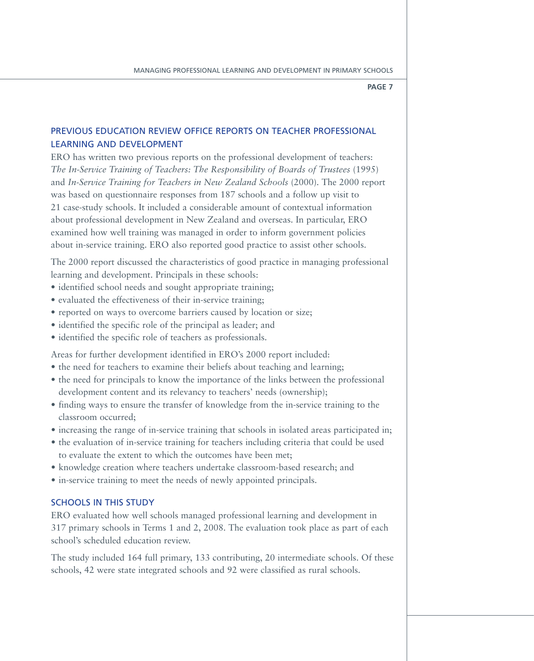### previous Education review office reports on teacher professional learning and development

ERO has written two previous reports on the professional development of teachers: *The In-Service Training of Teachers: The Responsibility of Boards of Trustees* (1995) and *In-Service Training for Teachers in New Zealand Schools* (2000). The 2000 report was based on questionnaire responses from 187 schools and a follow up visit to 21 case-study schools. It included a considerable amount of contextual information about professional development in New Zealand and overseas. In particular, ERO examined how well training was managed in order to inform government policies about in-service training. ERO also reported good practice to assist other schools.

The 2000 report discussed the characteristics of good practice in managing professional learning and development. Principals in these schools:

- identified school needs and sought appropriate training;
- evaluated the effectiveness of their in-service training;
- reported on ways to overcome barriers caused by location or size;
- identified the specific role of the principal as leader; and
- identified the specific role of teachers as professionals.

Areas for further development identified in ERO's 2000 report included:

- the need for teachers to examine their beliefs about teaching and learning;
- the need for principals to know the importance of the links between the professional development content and its relevancy to teachers' needs (ownership);
- finding ways to ensure the transfer of knowledge from the in-service training to the classroom occurred;
- increasing the range of in-service training that schools in isolated areas participated in;
- the evaluation of in-service training for teachers including criteria that could be used to evaluate the extent to which the outcomes have been met;
- • knowledge creation where teachers undertake classroom-based research; and
- in-service training to meet the needs of newly appointed principals.

### Schools in this study

ERO evaluated how well schools managed professional learning and development in 317 primary schools in Terms 1 and 2, 2008. The evaluation took place as part of each school's scheduled education review.

The study included 164 full primary, 133 contributing, 20 intermediate schools. Of these schools, 42 were state integrated schools and 92 were classified as rural schools.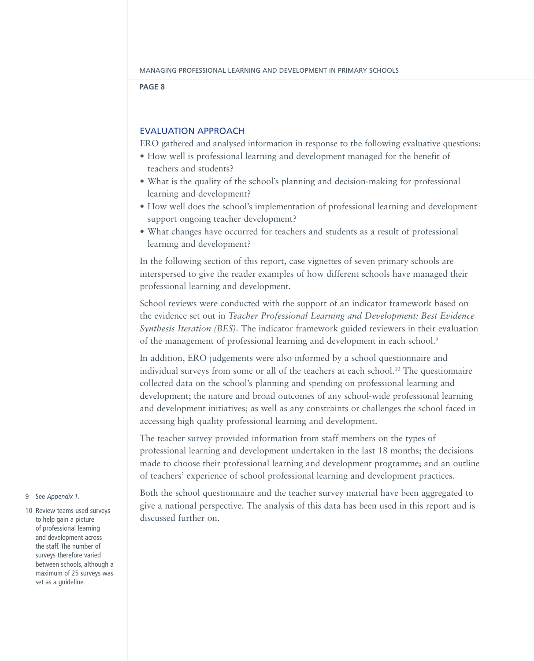### Evaluation approach

ERO gathered and analysed information in response to the following evaluative questions:

- How well is professional learning and development managed for the benefit of teachers and students?
- What is the quality of the school's planning and decision-making for professional learning and development?
- How well does the school's implementation of professional learning and development support ongoing teacher development?
- What changes have occurred for teachers and students as a result of professional learning and development?

In the following section of this report, case vignettes of seven primary schools are interspersed to give the reader examples of how different schools have managed their professional learning and development.

School reviews were conducted with the support of an indicator framework based on the evidence set out in *Teacher Professional Learning and Development: Best Evidence Synthesis Iteration (BES)*. The indicator framework guided reviewers in their evaluation of the management of professional learning and development in each school.<sup>9</sup>

In addition, ERO judgements were also informed by a school questionnaire and individual surveys from some or all of the teachers at each school.10 The questionnaire collected data on the school's planning and spending on professional learning and development; the nature and broad outcomes of any school-wide professional learning and development initiatives; as well as any constraints or challenges the school faced in accessing high quality professional learning and development.

The teacher survey provided information from staff members on the types of professional learning and development undertaken in the last 18 months; the decisions made to choose their professional learning and development programme; and an outline of teachers' experience of school professional learning and development practices.

Both the school questionnaire and the teacher survey material have been aggregated to give a national perspective. The analysis of this data has been used in this report and is discussed further on.

### 9 See *Appendix 1.*

10 Review teams used surveys to help gain a picture of professional learning and development across the staff. The number of surveys therefore varied between schools, although a maximum of 25 surveys was set as a guideline.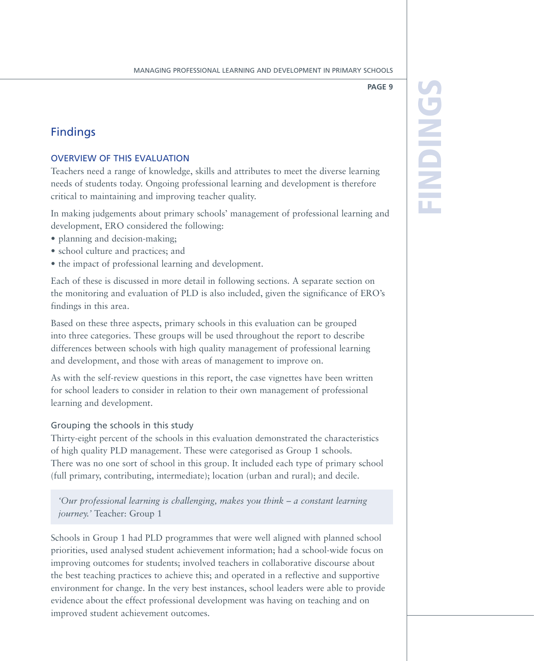### Findings

### Overview of this evaluation

Teachers need a range of knowledge, skills and attributes to meet the diverse learning needs of students today. Ongoing professional learning and development is therefore critical to maintaining and improving teacher quality.

In making judgements about primary schools' management of professional learning and development, ERO considered the following:

- planning and decision-making:
- • school culture and practices; and
- the impact of professional learning and development.

Each of these is discussed in more detail in following sections. A separate section on the monitoring and evaluation of PLD is also included, given the significance of ERO's findings in this area.

Based on these three aspects, primary schools in this evaluation can be grouped into three categories. These groups will be used throughout the report to describe differences between schools with high quality management of professional learning and development, and those with areas of management to improve on.

As with the self-review questions in this report, the case vignettes have been written for school leaders to consider in relation to their own management of professional learning and development.

### Grouping the schools in this study

Thirty-eight percent of the schools in this evaluation demonstrated the characteristics of high quality PLD management. These were categorised as Group 1 schools. There was no one sort of school in this group. It included each type of primary school (full primary, contributing, intermediate); location (urban and rural); and decile.

*'Our professional learning is challenging, makes you think – a constant learning journey.'* Teacher: Group 1

Schools in Group 1 had PLD programmes that were well aligned with planned school priorities, used analysed student achievement information; had a school-wide focus on improving outcomes for students; involved teachers in collaborative discourse about the best teaching practices to achieve this; and operated in a reflective and supportive environment for change. In the very best instances, school leaders were able to provide evidence about the effect professional development was having on teaching and on improved student achievement outcomes.

ings

F

ind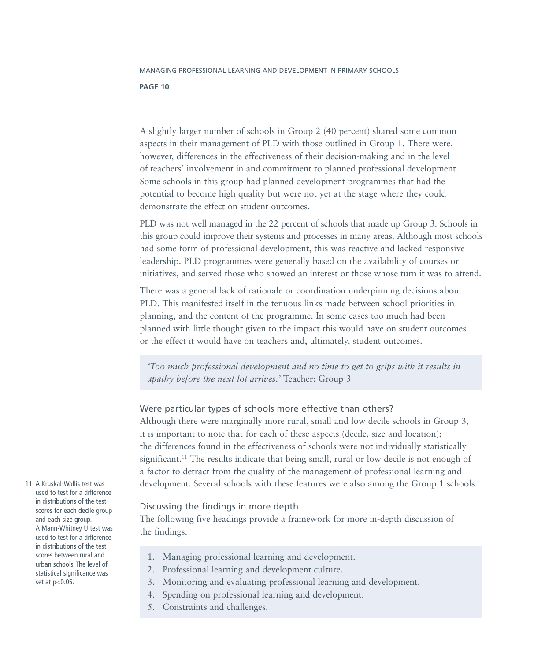A slightly larger number of schools in Group 2 (40 percent) shared some common aspects in their management of PLD with those outlined in Group 1. There were, however, differences in the effectiveness of their decision-making and in the level of teachers' involvement in and commitment to planned professional development. Some schools in this group had planned development programmes that had the potential to become high quality but were not yet at the stage where they could demonstrate the effect on student outcomes.

PLD was not well managed in the 22 percent of schools that made up Group 3. Schools in this group could improve their systems and processes in many areas. Although most schools had some form of professional development, this was reactive and lacked responsive leadership. PLD programmes were generally based on the availability of courses or initiatives, and served those who showed an interest or those whose turn it was to attend.

There was a general lack of rationale or coordination underpinning decisions about PLD. This manifested itself in the tenuous links made between school priorities in planning, and the content of the programme. In some cases too much had been planned with little thought given to the impact this would have on student outcomes or the effect it would have on teachers and, ultimately, student outcomes.

*'Too much professional development and no time to get to grips with it results in apathy before the next lot arrives.'* Teacher: Group 3

### Were particular types of schools more effective than others?

Although there were marginally more rural, small and low decile schools in Group 3, it is important to note that for each of these aspects (decile, size and location); the differences found in the effectiveness of schools were not individually statistically significant.<sup>11</sup> The results indicate that being small, rural or low decile is not enough of a factor to detract from the quality of the management of professional learning and development. Several schools with these features were also among the Group 1 schools.

### Discussing the findings in more depth

The following five headings provide a framework for more in-depth discussion of the findings.

- 1. Managing professional learning and development.
- 2. Professional learning and development culture.
- 3. Monitoring and evaluating professional learning and development.
- 4. Spending on professional learning and development.
- 5. Constraints and challenges.

11 A Kruskal-Wallis test was used to test for a difference in distributions of the test scores for each decile group and each size group. A Mann-Whitney U test was used to test for a difference in distributions of the test scores between rural and urban schools. The level of statistical significance was set at p<0.05.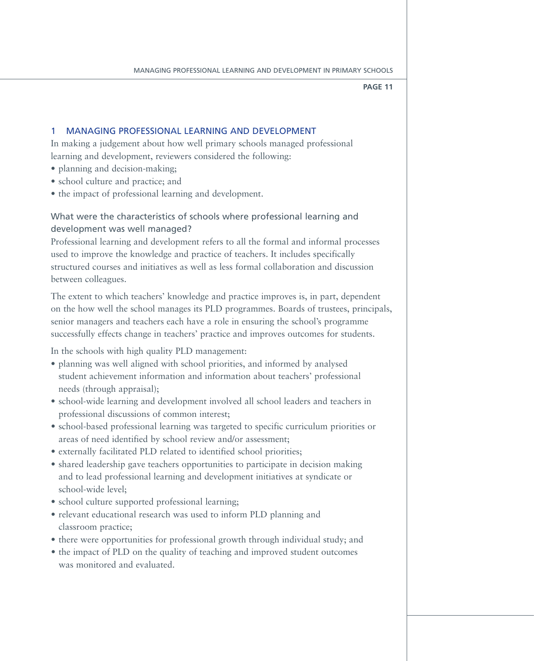### 1 Managing professional learning and development

In making a judgement about how well primary schools managed professional learning and development, reviewers considered the following:

- planning and decision-making;
- • school culture and practice; and
- the impact of professional learning and development.

### What were the characteristics of schools where professional learning and development was well managed?

Professional learning and development refers to all the formal and informal processes used to improve the knowledge and practice of teachers. It includes specifically structured courses and initiatives as well as less formal collaboration and discussion between colleagues.

The extent to which teachers' knowledge and practice improves is, in part, dependent on the how well the school manages its PLD programmes. Boards of trustees, principals, senior managers and teachers each have a role in ensuring the school's programme successfully effects change in teachers' practice and improves outcomes for students.

In the schools with high quality PLD management:

- planning was well aligned with school priorities, and informed by analysed student achievement information and information about teachers' professional needs (through appraisal);
- • school-wide learning and development involved all school leaders and teachers in professional discussions of common interest;
- school-based professional learning was targeted to specific curriculum priorities or areas of need identified by school review and/or assessment;
- externally facilitated PLD related to identified school priorities;
- shared leadership gave teachers opportunities to participate in decision making and to lead professional learning and development initiatives at syndicate or school-wide level;
- school culture supported professional learning;
- relevant educational research was used to inform PLD planning and classroom practice;
- there were opportunities for professional growth through individual study; and
- the impact of PLD on the quality of teaching and improved student outcomes was monitored and evaluated.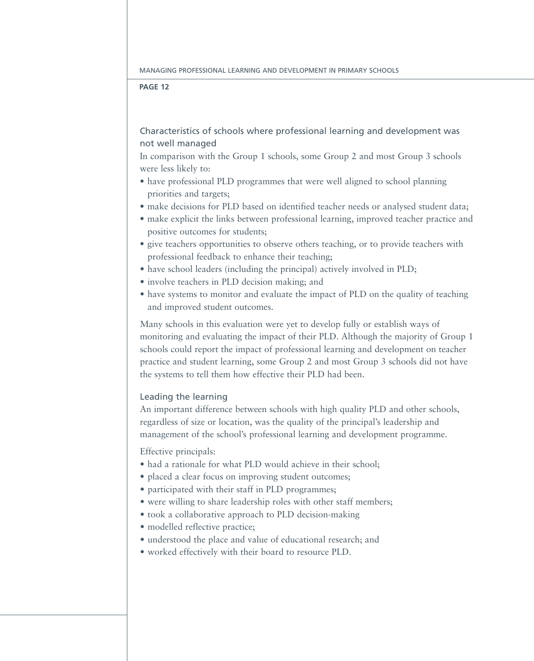### Characteristics of schools where professional learning and development was not well managed

In comparison with the Group 1 schools, some Group 2 and most Group 3 schools were less likely to:

- have professional PLD programmes that were well aligned to school planning priorities and targets;
- make decisions for PLD based on identified teacher needs or analysed student data;
- make explicit the links between professional learning, improved teacher practice and positive outcomes for students;
- give teachers opportunities to observe others teaching, or to provide teachers with professional feedback to enhance their teaching;
- have school leaders (including the principal) actively involved in PLD;
- involve teachers in PLD decision making; and
- have systems to monitor and evaluate the impact of PLD on the quality of teaching and improved student outcomes.

Many schools in this evaluation were yet to develop fully or establish ways of monitoring and evaluating the impact of their PLD. Although the majority of Group 1 schools could report the impact of professional learning and development on teacher practice and student learning, some Group 2 and most Group 3 schools did not have the systems to tell them how effective their PLD had been.

### Leading the learning

An important difference between schools with high quality PLD and other schools, regardless of size or location, was the quality of the principal's leadership and management of the school's professional learning and development programme.

Effective principals:

- had a rationale for what PLD would achieve in their school;
- placed a clear focus on improving student outcomes;
- participated with their staff in PLD programmes;
- were willing to share leadership roles with other staff members;
- took a collaborative approach to PLD decision-making
- modelled reflective practice;
- understood the place and value of educational research; and
- • worked effectively with their board to resource PLD.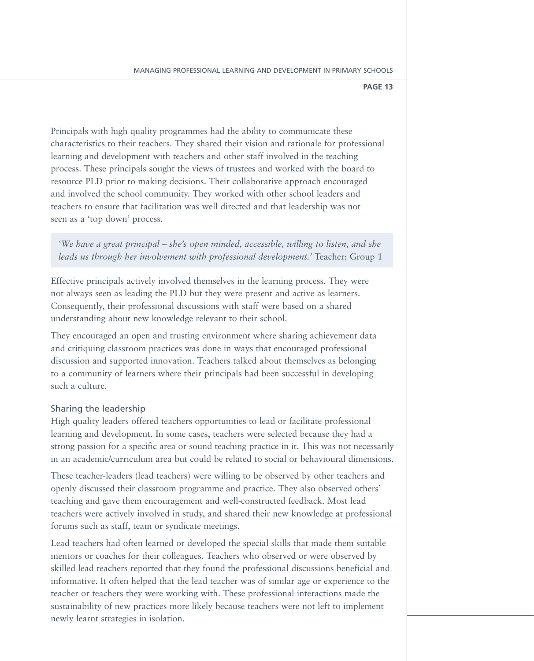Principals with high quality programmes had the ability to communicate these characteristics to their teachers. They shared their vision and rationale for professional learning and development with teachers and other staff involved in the teaching process. These principals sought the views of trustees and worked with the board to resource PLD prior to making decisions. Their collaborative approach encouraged and involved the school community. They worked with other school leaders and teachers to ensure that facilitation was well directed and that leadership was not seen as a 'top down' process.

*'We have a great principal – she's open minded, accessible, willing to listen, and she leads us through her involvement with professional development.'* Teacher: Group 1

Effective principals actively involved themselves in the learning process. They were not always seen as leading the PLD but they were present and active as learners. Consequently, their professional discussions with staff were based on a shared understanding about new knowledge relevant to their school.

They encouraged an open and trusting environment where sharing achievement data and critiquing classroom practices was done in ways that encouraged professional discussion and supported innovation. Teachers talked about themselves as belonging to a community of learners where their principals had been successful in developing such a culture.

### Sharing the leadership

High quality leaders offered teachers opportunities to lead or facilitate professional learning and development. In some cases, teachers were selected because they had a strong passion for a specific area or sound teaching practice in it. This was not necessarily in an academic/curriculum area but could be related to social or behavioural dimensions.

These teacher-leaders (lead teachers) were willing to be observed by other teachers and openly discussed their classroom programme and practice. They also observed others' teaching and gave them encouragement and well-constructed feedback. Most lead teachers were actively involved in study, and shared their new knowledge at professional forums such as staff, team or syndicate meetings.

Lead teachers had often learned or developed the special skills that made them suitable mentors or coaches for their colleagues. Teachers who observed or were observed by skilled lead teachers reported that they found the professional discussions beneficial and informative. It often helped that the lead teacher was of similar age or experience to the teacher or teachers they were working with. These professional interactions made the sustainability of new practices more likely because teachers were not left to implement newly learnt strategies in isolation.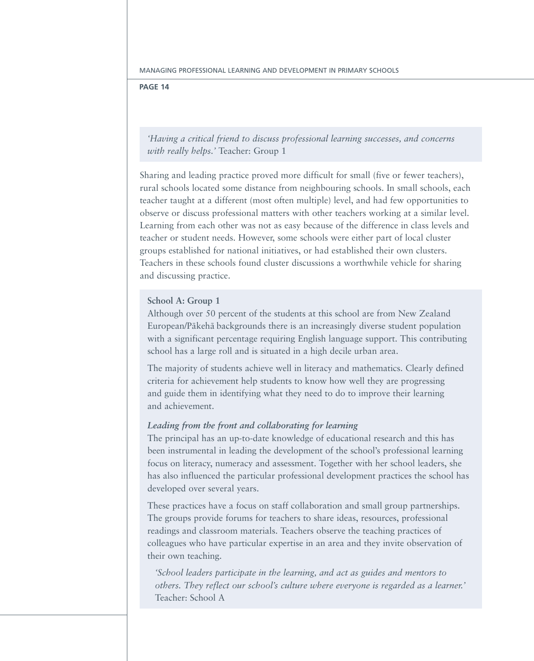### **Page 14**

*'Having a critical friend to discuss professional learning successes, and concerns with really helps.'* Teacher: Group 1

Sharing and leading practice proved more difficult for small (five or fewer teachers), rural schools located some distance from neighbouring schools. In small schools, each teacher taught at a different (most often multiple) level, and had few opportunities to observe or discuss professional matters with other teachers working at a similar level. Learning from each other was not as easy because of the difference in class levels and teacher or student needs. However, some schools were either part of local cluster groups established for national initiatives, or had established their own clusters. Teachers in these schools found cluster discussions a worthwhile vehicle for sharing and discussing practice.

### **School A: Group 1**

Although over 50 percent of the students at this school are from New Zealand European/Pākehā backgrounds there is an increasingly diverse student population with a significant percentage requiring English language support. This contributing school has a large roll and is situated in a high decile urban area.

The majority of students achieve well in literacy and mathematics. Clearly defined criteria for achievement help students to know how well they are progressing and guide them in identifying what they need to do to improve their learning and achievement.

### *Leading from the front and collaborating for learning*

The principal has an up-to-date knowledge of educational research and this has been instrumental in leading the development of the school's professional learning focus on literacy, numeracy and assessment. Together with her school leaders, she has also influenced the particular professional development practices the school has developed over several years.

These practices have a focus on staff collaboration and small group partnerships. The groups provide forums for teachers to share ideas, resources, professional readings and classroom materials. Teachers observe the teaching practices of colleagues who have particular expertise in an area and they invite observation of their own teaching.

*'School leaders participate in the learning, and act as guides and mentors to others. They reflect our school's culture where everyone is regarded as a learner.'*  Teacher: School A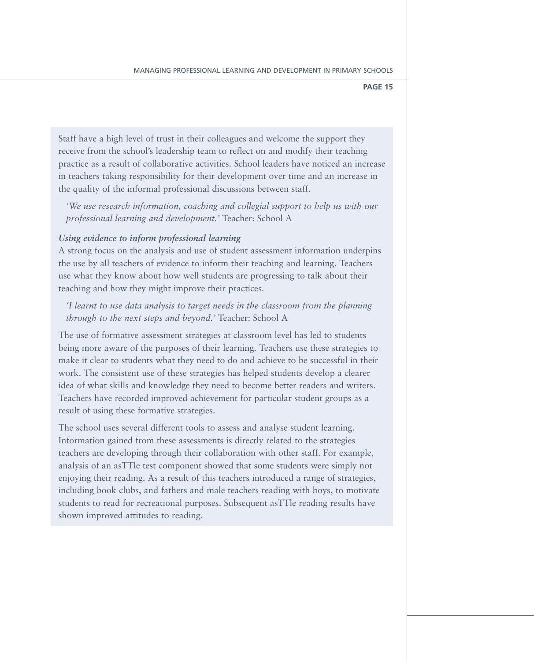Staff have a high level of trust in their colleagues and welcome the support they receive from the school's leadership team to reflect on and modify their teaching practice as a result of collaborative activities. School leaders have noticed an increase in teachers taking responsibility for their development over time and an increase in the quality of the informal professional discussions between staff.

*'We use research information, coaching and collegial support to help us with our professional learning and development.'* Teacher: School A

### *Using evidence to inform professional learning*

A strong focus on the analysis and use of student assessment information underpins the use by all teachers of evidence to inform their teaching and learning. Teachers use what they know about how well students are progressing to talk about their teaching and how they might improve their practices.

### *'I learnt to use data analysis to target needs in the classroom from the planning through to the next steps and beyond.'* Teacher: School A

The use of formative assessment strategies at classroom level has led to students being more aware of the purposes of their learning. Teachers use these strategies to make it clear to students what they need to do and achieve to be successful in their work. The consistent use of these strategies has helped students develop a clearer idea of what skills and knowledge they need to become better readers and writers. Teachers have recorded improved achievement for particular student groups as a result of using these formative strategies.

The school uses several different tools to assess and analyse student learning. Information gained from these assessments is directly related to the strategies teachers are developing through their collaboration with other staff. For example, analysis of an asTTle test component showed that some students were simply not enjoying their reading. As a result of this teachers introduced a range of strategies, including book clubs, and fathers and male teachers reading with boys, to motivate students to read for recreational purposes. Subsequent asTTle reading results have shown improved attitudes to reading.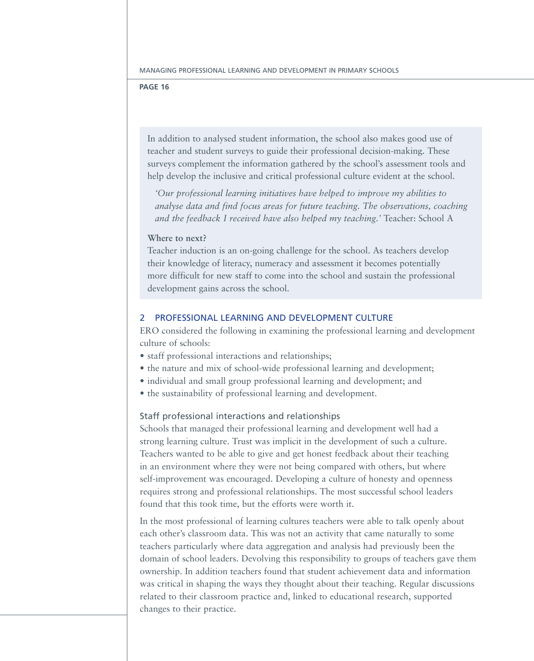In addition to analysed student information, the school also makes good use of teacher and student surveys to guide their professional decision-making. These surveys complement the information gathered by the school's assessment tools and help develop the inclusive and critical professional culture evident at the school.

*'Our professional learning initiatives have helped to improve my abilities to analyse data and find focus areas for future teaching. The observations, coaching and the feedback I received have also helped my teaching.'* Teacher: School A

### **Where to next?**

Teacher induction is an on-going challenge for the school. As teachers develop their knowledge of literacy, numeracy and assessment it becomes potentially more difficult for new staff to come into the school and sustain the professional development gains across the school.

### 2 Professional learning and development culture

ERO considered the following in examining the professional learning and development culture of schools:

- staff professional interactions and relationships;
- the nature and mix of school-wide professional learning and development;
- individual and small group professional learning and development; and
- the sustainability of professional learning and development.

### Staff professional interactions and relationships

Schools that managed their professional learning and development well had a strong learning culture. Trust was implicit in the development of such a culture. Teachers wanted to be able to give and get honest feedback about their teaching in an environment where they were not being compared with others, but where self-improvement was encouraged. Developing a culture of honesty and openness requires strong and professional relationships. The most successful school leaders found that this took time, but the efforts were worth it.

In the most professional of learning cultures teachers were able to talk openly about each other's classroom data. This was not an activity that came naturally to some teachers particularly where data aggregation and analysis had previously been the domain of school leaders. Devolving this responsibility to groups of teachers gave them ownership. In addition teachers found that student achievement data and information was critical in shaping the ways they thought about their teaching. Regular discussions related to their classroom practice and, linked to educational research, supported changes to their practice.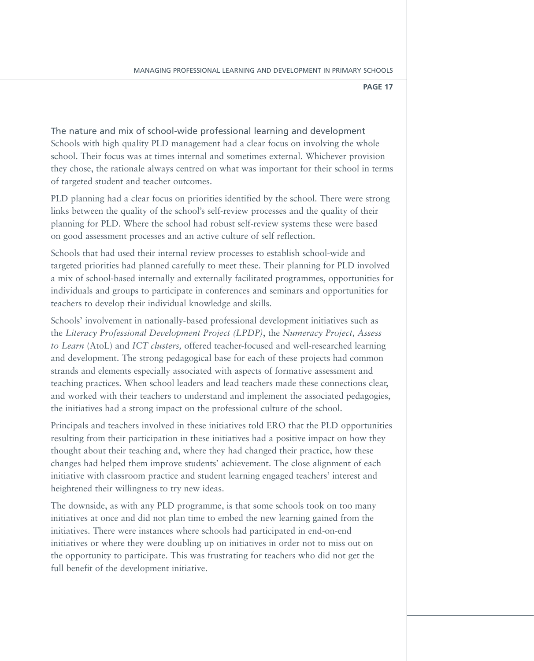The nature and mix of school-wide professional learning and development Schools with high quality PLD management had a clear focus on involving the whole school. Their focus was at times internal and sometimes external. Whichever provision they chose, the rationale always centred on what was important for their school in terms of targeted student and teacher outcomes.

PLD planning had a clear focus on priorities identified by the school. There were strong links between the quality of the school's self-review processes and the quality of their planning for PLD. Where the school had robust self-review systems these were based on good assessment processes and an active culture of self reflection.

Schools that had used their internal review processes to establish school-wide and targeted priorities had planned carefully to meet these. Their planning for PLD involved a mix of school-based internally and externally facilitated programmes, opportunities for individuals and groups to participate in conferences and seminars and opportunities for teachers to develop their individual knowledge and skills.

Schools' involvement in nationally-based professional development initiatives such as the *Literacy Professional Development Project (LPDP)*, the *Numeracy Project, Assess to Learn* (AtoL) and *ICT clusters,* offered teacher-focused and well-researched learning and development. The strong pedagogical base for each of these projects had common strands and elements especially associated with aspects of formative assessment and teaching practices. When school leaders and lead teachers made these connections clear, and worked with their teachers to understand and implement the associated pedagogies, the initiatives had a strong impact on the professional culture of the school.

Principals and teachers involved in these initiatives told ERO that the PLD opportunities resulting from their participation in these initiatives had a positive impact on how they thought about their teaching and, where they had changed their practice, how these changes had helped them improve students' achievement. The close alignment of each initiative with classroom practice and student learning engaged teachers' interest and heightened their willingness to try new ideas.

The downside, as with any PLD programme, is that some schools took on too many initiatives at once and did not plan time to embed the new learning gained from the initiatives. There were instances where schools had participated in end-on-end initiatives or where they were doubling up on initiatives in order not to miss out on the opportunity to participate. This was frustrating for teachers who did not get the full benefit of the development initiative.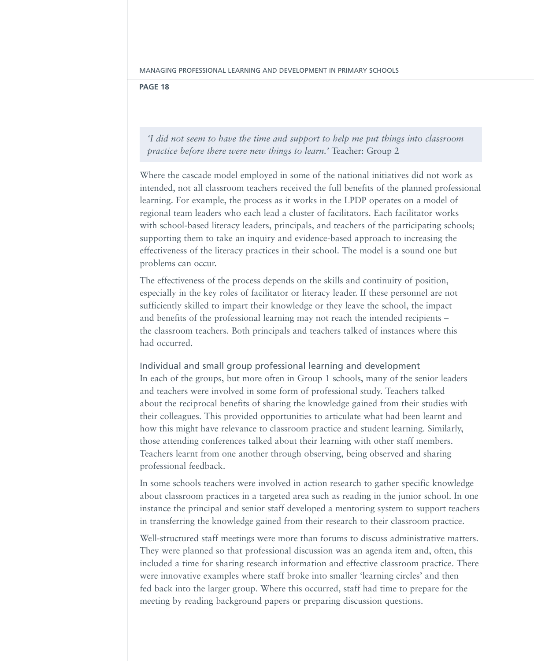### **Page 18**

*'I did not seem to have the time and support to help me put things into classroom practice before there were new things to learn.'* Teacher: Group 2

Where the cascade model employed in some of the national initiatives did not work as intended, not all classroom teachers received the full benefits of the planned professional learning. For example, the process as it works in the LPDP operates on a model of regional team leaders who each lead a cluster of facilitators. Each facilitator works with school-based literacy leaders, principals, and teachers of the participating schools; supporting them to take an inquiry and evidence-based approach to increasing the effectiveness of the literacy practices in their school. The model is a sound one but problems can occur.

The effectiveness of the process depends on the skills and continuity of position, especially in the key roles of facilitator or literacy leader. If these personnel are not sufficiently skilled to impart their knowledge or they leave the school, the impact and benefits of the professional learning may not reach the intended recipients – the classroom teachers. Both principals and teachers talked of instances where this had occurred.

Individual and small group professional learning and development In each of the groups, but more often in Group 1 schools, many of the senior leaders and teachers were involved in some form of professional study. Teachers talked about the reciprocal benefits of sharing the knowledge gained from their studies with their colleagues. This provided opportunities to articulate what had been learnt and how this might have relevance to classroom practice and student learning. Similarly, those attending conferences talked about their learning with other staff members. Teachers learnt from one another through observing, being observed and sharing professional feedback.

In some schools teachers were involved in action research to gather specific knowledge about classroom practices in a targeted area such as reading in the junior school. In one instance the principal and senior staff developed a mentoring system to support teachers in transferring the knowledge gained from their research to their classroom practice.

Well-structured staff meetings were more than forums to discuss administrative matters. They were planned so that professional discussion was an agenda item and, often, this included a time for sharing research information and effective classroom practice. There were innovative examples where staff broke into smaller 'learning circles' and then fed back into the larger group. Where this occurred, staff had time to prepare for the meeting by reading background papers or preparing discussion questions.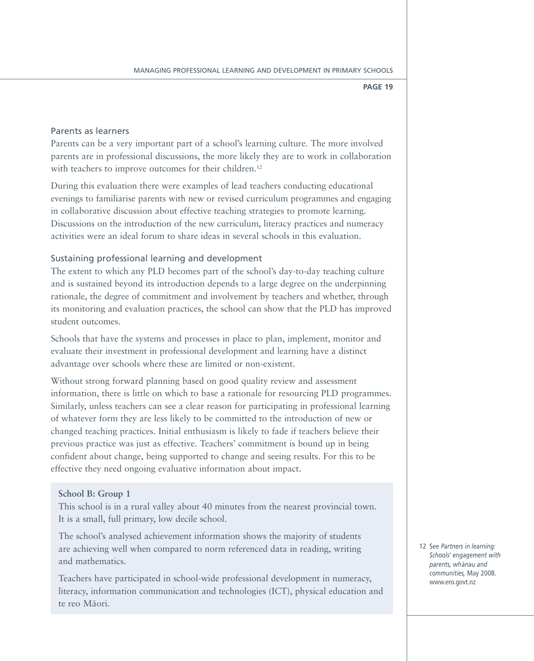### Parents as learners

Parents can be a very important part of a school's learning culture. The more involved parents are in professional discussions, the more likely they are to work in collaboration with teachers to improve outcomes for their children.<sup>12</sup>

During this evaluation there were examples of lead teachers conducting educational evenings to familiarise parents with new or revised curriculum programmes and engaging in collaborative discussion about effective teaching strategies to promote learning. Discussions on the introduction of the new curriculum, literacy practices and numeracy activities were an ideal forum to share ideas in several schools in this evaluation.

### Sustaining professional learning and development

The extent to which any PLD becomes part of the school's day-to-day teaching culture and is sustained beyond its introduction depends to a large degree on the underpinning rationale, the degree of commitment and involvement by teachers and whether, through its monitoring and evaluation practices, the school can show that the PLD has improved student outcomes.

Schools that have the systems and processes in place to plan, implement, monitor and evaluate their investment in professional development and learning have a distinct advantage over schools where these are limited or non-existent.

Without strong forward planning based on good quality review and assessment information, there is little on which to base a rationale for resourcing PLD programmes. Similarly, unless teachers can see a clear reason for participating in professional learning of whatever form they are less likely to be committed to the introduction of new or changed teaching practices. Initial enthusiasm is likely to fade if teachers believe their previous practice was just as effective. Teachers' commitment is bound up in being confident about change, being supported to change and seeing results. For this to be effective they need ongoing evaluative information about impact.

### **School B: Group 1**

This school is in a rural valley about 40 minutes from the nearest provincial town. It is a small, full primary, low decile school.

The school's analysed achievement information shows the majority of students are achieving well when compared to norm referenced data in reading, writing and mathematics.

Teachers have participated in school-wide professional development in numeracy, literacy, information communication and technologies (ICT), physical education and te reo Māori.

12 See *Partners in learning: Schools' engagement with parents, wh¯anau and communities,* May 2008. www.ero.govt.nz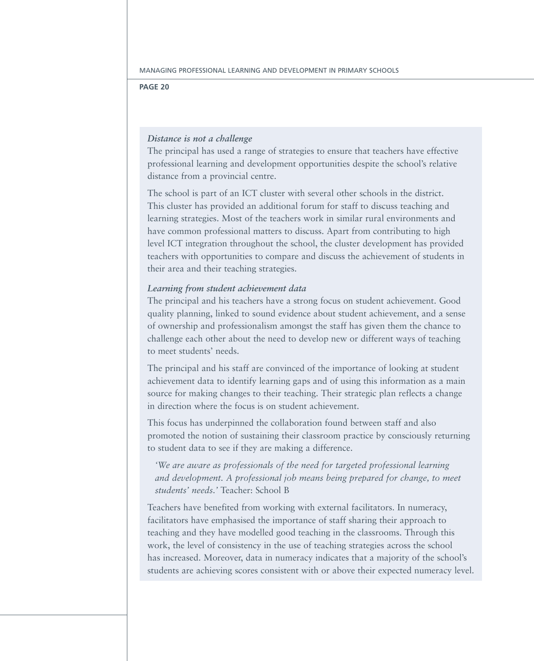### *Distance is not a challenge*

The principal has used a range of strategies to ensure that teachers have effective professional learning and development opportunities despite the school's relative distance from a provincial centre.

The school is part of an ICT cluster with several other schools in the district. This cluster has provided an additional forum for staff to discuss teaching and learning strategies. Most of the teachers work in similar rural environments and have common professional matters to discuss. Apart from contributing to high level ICT integration throughout the school, the cluster development has provided teachers with opportunities to compare and discuss the achievement of students in their area and their teaching strategies.

### *Learning from student achievement data*

The principal and his teachers have a strong focus on student achievement. Good quality planning, linked to sound evidence about student achievement, and a sense of ownership and professionalism amongst the staff has given them the chance to challenge each other about the need to develop new or different ways of teaching to meet students' needs.

The principal and his staff are convinced of the importance of looking at student achievement data to identify learning gaps and of using this information as a main source for making changes to their teaching. Their strategic plan reflects a change in direction where the focus is on student achievement.

This focus has underpinned the collaboration found between staff and also promoted the notion of sustaining their classroom practice by consciously returning to student data to see if they are making a difference.

*'We are aware as professionals of the need for targeted professional learning and development. A professional job means being prepared for change, to meet students' needs.'* Teacher: School B

Teachers have benefited from working with external facilitators. In numeracy, facilitators have emphasised the importance of staff sharing their approach to teaching and they have modelled good teaching in the classrooms. Through this work, the level of consistency in the use of teaching strategies across the school has increased. Moreover, data in numeracy indicates that a majority of the school's students are achieving scores consistent with or above their expected numeracy level.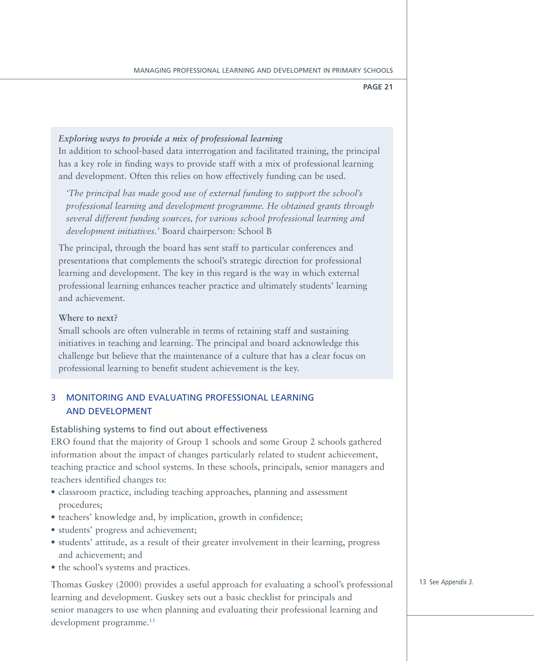### *Exploring ways to provide a mix of professional learning*

In addition to school-based data interrogation and facilitated training, the principal has a key role in finding ways to provide staff with a mix of professional learning and development. Often this relies on how effectively funding can be used.

*'The principal has made good use of external funding to support the school's professional learning and development programme. He obtained grants through several different funding sources, for various school professional learning and development initiatives.'* Board chairperson: School B

The principal, through the board has sent staff to particular conferences and presentations that complements the school's strategic direction for professional learning and development. The key in this regard is the way in which external professional learning enhances teacher practice and ultimately students' learning and achievement.

### **Where to next?**

Small schools are often vulnerable in terms of retaining staff and sustaining initiatives in teaching and learning. The principal and board acknowledge this challenge but believe that the maintenance of a culture that has a clear focus on professional learning to benefit student achievement is the key.

### 3 Monitoring and evaluating professional learning and development

### Establishing systems to find out about effectiveness

ERO found that the majority of Group 1 schools and some Group 2 schools gathered information about the impact of changes particularly related to student achievement, teaching practice and school systems. In these schools, principals, senior managers and teachers identified changes to:

- classroom practice, including teaching approaches, planning and assessment procedures;
- teachers' knowledge and, by implication, growth in confidence;
- students' progress and achievement;
- students' attitude, as a result of their greater involvement in their learning, progress and achievement; and
- the school's systems and practices.

Thomas Guskey (2000) provides a useful approach for evaluating a school's professional learning and development. Guskey sets out a basic checklist for principals and senior managers to use when planning and evaluating their professional learning and development programme.<sup>13</sup>

13 See *Appendix 3.*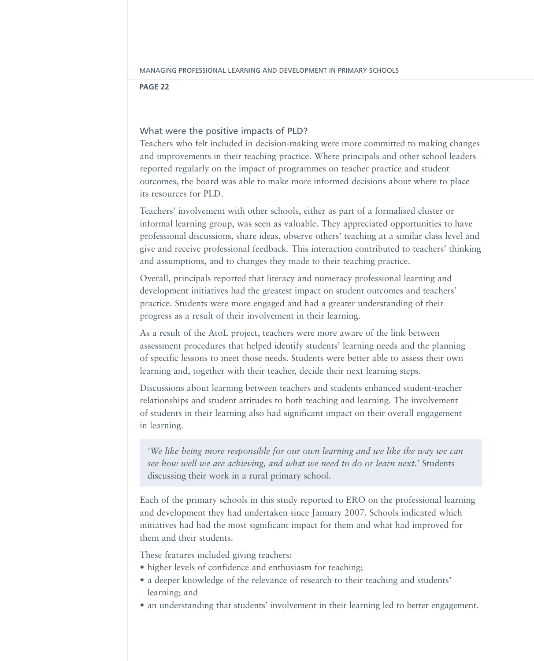### What were the positive impacts of PLD?

Teachers who felt included in decision-making were more committed to making changes and improvements in their teaching practice. Where principals and other school leaders reported regularly on the impact of programmes on teacher practice and student outcomes, the board was able to make more informed decisions about where to place its resources for PLD.

Teachers' involvement with other schools, either as part of a formalised cluster or informal learning group, was seen as valuable. They appreciated opportunities to have professional discussions, share ideas, observe others' teaching at a similar class level and give and receive professional feedback. This interaction contributed to teachers' thinking and assumptions, and to changes they made to their teaching practice.

Overall, principals reported that literacy and numeracy professional learning and development initiatives had the greatest impact on student outcomes and teachers' practice. Students were more engaged and had a greater understanding of their progress as a result of their involvement in their learning.

As a result of the AtoL project, teachers were more aware of the link between assessment procedures that helped identify students' learning needs and the planning of specific lessons to meet those needs. Students were better able to assess their own learning and, together with their teacher, decide their next learning steps.

Discussions about learning between teachers and students enhanced student-teacher relationships and student attitudes to both teaching and learning. The involvement of students in their learning also had significant impact on their overall engagement in learning.

*'We like being more responsible for our own learning and we like the way we can see how well we are achieving, and what we need to do or learn next.'* Students discussing their work in a rural primary school.

Each of the primary schools in this study reported to ERO on the professional learning and development they had undertaken since January 2007. Schools indicated which initiatives had had the most significant impact for them and what had improved for them and their students.

These features included giving teachers:

- higher levels of confidence and enthusiasm for teaching;
- a deeper knowledge of the relevance of research to their teaching and students' learning; and
- an understanding that students' involvement in their learning led to better engagement.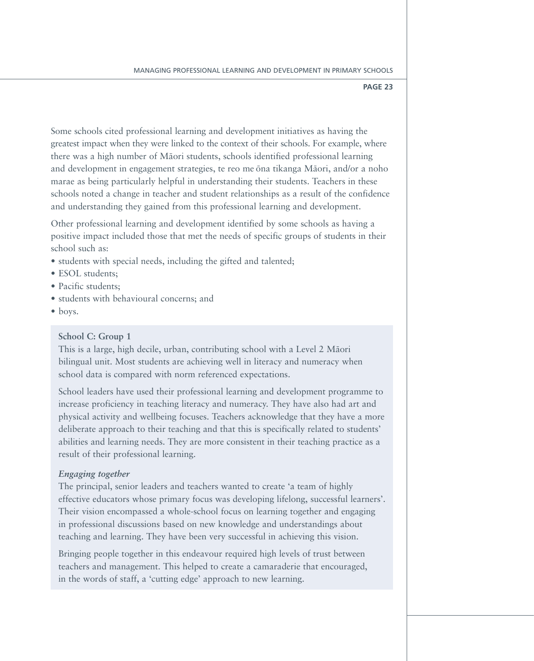Some schools cited professional learning and development initiatives as having the greatest impact when they were linked to the context of their schools. For example, where there was a high number of Māori students, schools identified professional learning and development in engagement strategies, te reo me ōna tikanga Māori, and/or a noho marae as being particularly helpful in understanding their students. Teachers in these schools noted a change in teacher and student relationships as a result of the confidence and understanding they gained from this professional learning and development.

Other professional learning and development identified by some schools as having a positive impact included those that met the needs of specific groups of students in their school such as:

- students with special needs, including the gifted and talented;
- ESOL students;
- Pacific students:
- • students with behavioural concerns; and
- boys.

### **School C: Group 1**

This is a large, high decile, urban, contributing school with a Level 2 Māori bilingual unit. Most students are achieving well in literacy and numeracy when school data is compared with norm referenced expectations.

School leaders have used their professional learning and development programme to increase proficiency in teaching literacy and numeracy. They have also had art and physical activity and wellbeing focuses. Teachers acknowledge that they have a more deliberate approach to their teaching and that this is specifically related to students' abilities and learning needs. They are more consistent in their teaching practice as a result of their professional learning.

### *Engaging together*

The principal, senior leaders and teachers wanted to create 'a team of highly effective educators whose primary focus was developing lifelong, successful learners'. Their vision encompassed a whole-school focus on learning together and engaging in professional discussions based on new knowledge and understandings about teaching and learning. They have been very successful in achieving this vision.

Bringing people together in this endeavour required high levels of trust between teachers and management. This helped to create a camaraderie that encouraged, in the words of staff, a 'cutting edge' approach to new learning.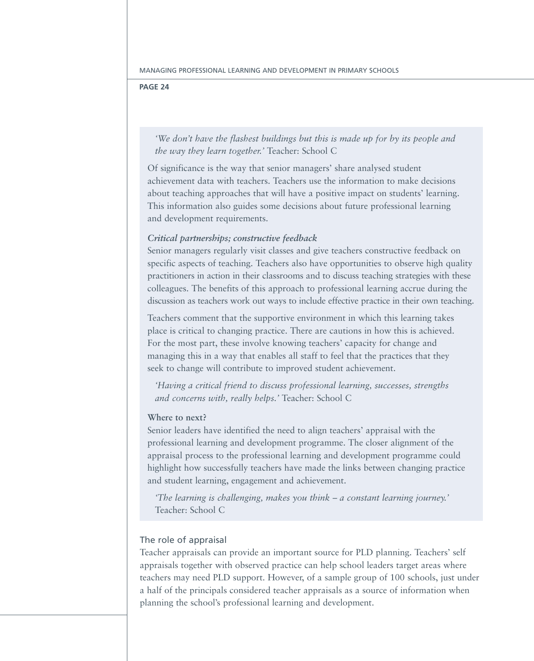*'We don't have the flashest buildings but this is made up for by its people and the way they learn together.'* Teacher: School C

Of significance is the way that senior managers' share analysed student achievement data with teachers. Teachers use the information to make decisions about teaching approaches that will have a positive impact on students' learning. This information also guides some decisions about future professional learning and development requirements.

### *Critical partnerships; constructive feedback*

Senior managers regularly visit classes and give teachers constructive feedback on specific aspects of teaching. Teachers also have opportunities to observe high quality practitioners in action in their classrooms and to discuss teaching strategies with these colleagues. The benefits of this approach to professional learning accrue during the discussion as teachers work out ways to include effective practice in their own teaching.

Teachers comment that the supportive environment in which this learning takes place is critical to changing practice. There are cautions in how this is achieved. For the most part, these involve knowing teachers' capacity for change and managing this in a way that enables all staff to feel that the practices that they seek to change will contribute to improved student achievement.

*'Having a critical friend to discuss professional learning, successes, strengths and concerns with, really helps.'* Teacher: School C

### **Where to next?**

Senior leaders have identified the need to align teachers' appraisal with the professional learning and development programme. The closer alignment of the appraisal process to the professional learning and development programme could highlight how successfully teachers have made the links between changing practice and student learning, engagement and achievement.

*'The learning is challenging, makes you think – a constant learning journey.'*  Teacher: School C

### The role of appraisal

Teacher appraisals can provide an important source for PLD planning. Teachers' self appraisals together with observed practice can help school leaders target areas where teachers may need PLD support. However, of a sample group of 100 schools, just under a half of the principals considered teacher appraisals as a source of information when planning the school's professional learning and development.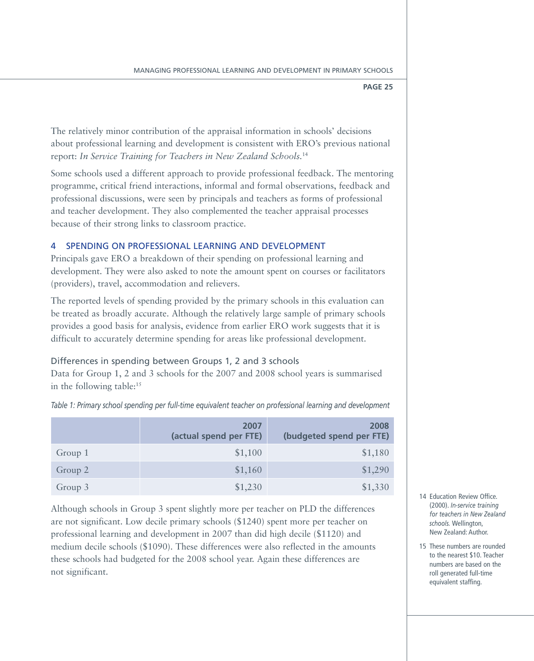The relatively minor contribution of the appraisal information in schools' decisions about professional learning and development is consistent with ERO's previous national report: *In Service Training for Teachers in New Zealand Schools.*<sup>14</sup>

Some schools used a different approach to provide professional feedback. The mentoring programme, critical friend interactions, informal and formal observations, feedback and professional discussions, were seen by principals and teachers as forms of professional and teacher development. They also complemented the teacher appraisal processes because of their strong links to classroom practice.

### 4 Spending on professional learning and development

Principals gave ERO a breakdown of their spending on professional learning and development. They were also asked to note the amount spent on courses or facilitators (providers), travel, accommodation and relievers.

The reported levels of spending provided by the primary schools in this evaluation can be treated as broadly accurate. Although the relatively large sample of primary schools provides a good basis for analysis, evidence from earlier ERO work suggests that it is difficult to accurately determine spending for areas like professional development.

### Differences in spending between Groups 1, 2 and 3 schools

Data for Group 1, 2 and 3 schools for the 2007 and 2008 school years is summarised in the following table:15

*Table 1: Primary school spending per full-time equivalent teacher on professional learning and development*

|         | 2007<br>(actual spend per FTE) | 2008<br>(budgeted spend per FTE) |
|---------|--------------------------------|----------------------------------|
| Group 1 | \$1,100                        | \$1,180                          |
| Group 2 | \$1,160                        | \$1,290                          |
| Group 3 | \$1,230                        | \$1,330                          |

Although schools in Group 3 spent slightly more per teacher on PLD the differences are not significant. Low decile primary schools (\$1240) spent more per teacher on professional learning and development in 2007 than did high decile (\$1120) and medium decile schools (\$1090). These differences were also reflected in the amounts these schools had budgeted for the 2008 school year. Again these differences are not significant.

- 14 Education Review Office. (2000). *In-service training for teachers in New Zealand schools.* Wellington, New Zealand: Author.
- 15 These numbers are rounded to the nearest \$10. Teacher numbers are based on the roll generated full-time equivalent staffing.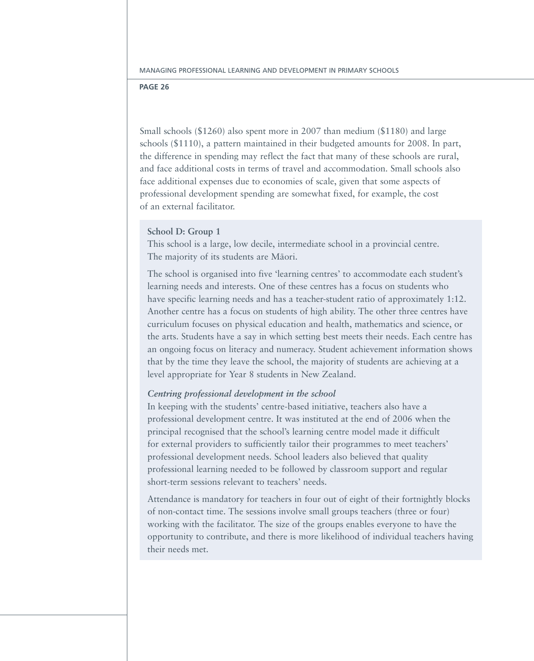Small schools (\$1260) also spent more in 2007 than medium (\$1180) and large schools (\$1110), a pattern maintained in their budgeted amounts for 2008. In part, the difference in spending may reflect the fact that many of these schools are rural, and face additional costs in terms of travel and accommodation. Small schools also face additional expenses due to economies of scale, given that some aspects of professional development spending are somewhat fixed, for example, the cost of an external facilitator.

### **School D: Group 1**

This school is a large, low decile, intermediate school in a provincial centre. The majority of its students are Māori.

The school is organised into five 'learning centres' to accommodate each student's learning needs and interests. One of these centres has a focus on students who have specific learning needs and has a teacher-student ratio of approximately 1:12. Another centre has a focus on students of high ability. The other three centres have curriculum focuses on physical education and health, mathematics and science, or the arts. Students have a say in which setting best meets their needs. Each centre has an ongoing focus on literacy and numeracy. Student achievement information shows that by the time they leave the school, the majority of students are achieving at a level appropriate for Year 8 students in New Zealand.

### *Centring professional development in the school*

In keeping with the students' centre-based initiative, teachers also have a professional development centre. It was instituted at the end of 2006 when the principal recognised that the school's learning centre model made it difficult for external providers to sufficiently tailor their programmes to meet teachers' professional development needs. School leaders also believed that quality professional learning needed to be followed by classroom support and regular short-term sessions relevant to teachers' needs.

Attendance is mandatory for teachers in four out of eight of their fortnightly blocks of non-contact time. The sessions involve small groups teachers (three or four) working with the facilitator. The size of the groups enables everyone to have the opportunity to contribute, and there is more likelihood of individual teachers having their needs met.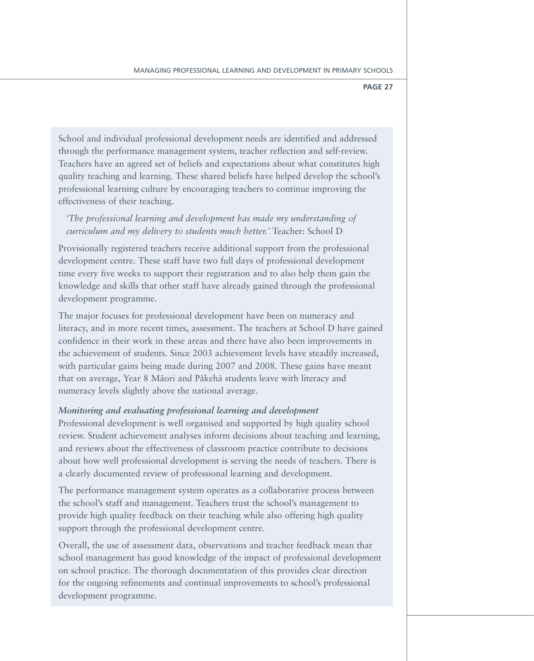School and individual professional development needs are identified and addressed through the performance management system, teacher reflection and self-review. Teachers have an agreed set of beliefs and expectations about what constitutes high quality teaching and learning. These shared beliefs have helped develop the school's professional learning culture by encouraging teachers to continue improving the effectiveness of their teaching.

### *'The professional learning and development has made my understanding of curriculum and my delivery to students much better.'* Teacher: School D

Provisionally registered teachers receive additional support from the professional development centre. These staff have two full days of professional development time every five weeks to support their registration and to also help them gain the knowledge and skills that other staff have already gained through the professional development programme.

The major focuses for professional development have been on numeracy and literacy, and in more recent times, assessment. The teachers at School D have gained confidence in their work in these areas and there have also been improvements in the achievement of students. Since 2003 achievement levels have steadily increased, with particular gains being made during 2007 and 2008. These gains have meant that on average, Year 8 Māori and Pākehā students leave with literacy and numeracy levels slightly above the national average.

### *Monitoring and evaluating professional learning and development*

Professional development is well organised and supported by high quality school review. Student achievement analyses inform decisions about teaching and learning, and reviews about the effectiveness of classroom practice contribute to decisions about how well professional development is serving the needs of teachers. There is a clearly documented review of professional learning and development.

The performance management system operates as a collaborative process between the school's staff and management. Teachers trust the school's management to provide high quality feedback on their teaching while also offering high quality support through the professional development centre.

Overall, the use of assessment data, observations and teacher feedback mean that school management has good knowledge of the impact of professional development on school practice. The thorough documentation of this provides clear direction for the ongoing refinements and continual improvements to school's professional development programme.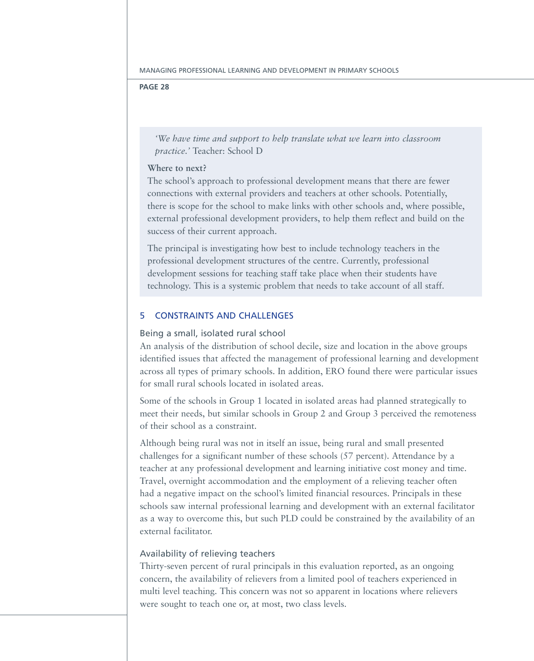*'We have time and support to help translate what we learn into classroom practice.'* Teacher: School D

### **Where to next?**

The school's approach to professional development means that there are fewer connections with external providers and teachers at other schools. Potentially, there is scope for the school to make links with other schools and, where possible, external professional development providers, to help them reflect and build on the success of their current approach.

The principal is investigating how best to include technology teachers in the professional development structures of the centre. Currently, professional development sessions for teaching staff take place when their students have technology. This is a systemic problem that needs to take account of all staff.

### 5 Constraints and challenges

### Being a small, isolated rural school

An analysis of the distribution of school decile, size and location in the above groups identified issues that affected the management of professional learning and development across all types of primary schools. In addition, ERO found there were particular issues for small rural schools located in isolated areas.

Some of the schools in Group 1 located in isolated areas had planned strategically to meet their needs, but similar schools in Group 2 and Group 3 perceived the remoteness of their school as a constraint.

Although being rural was not in itself an issue, being rural and small presented challenges for a significant number of these schools (57 percent). Attendance by a teacher at any professional development and learning initiative cost money and time. Travel, overnight accommodation and the employment of a relieving teacher often had a negative impact on the school's limited financial resources. Principals in these schools saw internal professional learning and development with an external facilitator as a way to overcome this, but such PLD could be constrained by the availability of an external facilitator.

### Availability of relieving teachers

Thirty-seven percent of rural principals in this evaluation reported, as an ongoing concern, the availability of relievers from a limited pool of teachers experienced in multi level teaching. This concern was not so apparent in locations where relievers were sought to teach one or, at most, two class levels.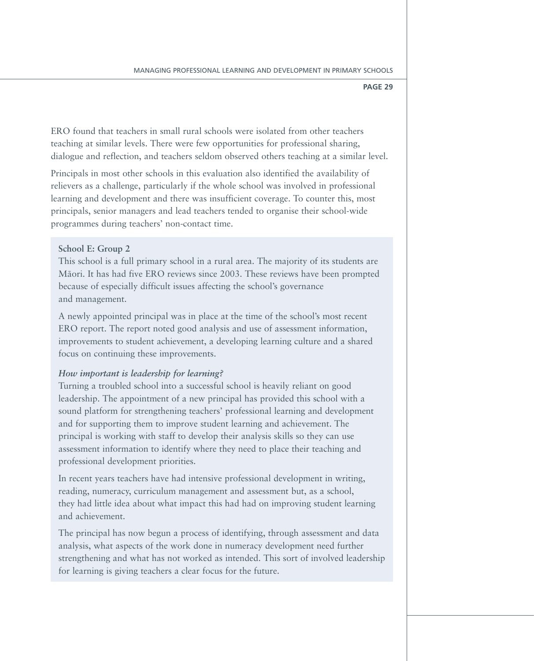ERO found that teachers in small rural schools were isolated from other teachers teaching at similar levels. There were few opportunities for professional sharing, dialogue and reflection, and teachers seldom observed others teaching at a similar level.

Principals in most other schools in this evaluation also identified the availability of relievers as a challenge, particularly if the whole school was involved in professional learning and development and there was insufficient coverage. To counter this, most principals, senior managers and lead teachers tended to organise their school-wide programmes during teachers' non-contact time.

### **School E: Group 2**

This school is a full primary school in a rural area. The majority of its students are Māori. It has had five ERO reviews since 2003. These reviews have been prompted because of especially difficult issues affecting the school's governance and management.

A newly appointed principal was in place at the time of the school's most recent ERO report. The report noted good analysis and use of assessment information, improvements to student achievement, a developing learning culture and a shared focus on continuing these improvements.

### *How important is leadership for learning?*

Turning a troubled school into a successful school is heavily reliant on good leadership. The appointment of a new principal has provided this school with a sound platform for strengthening teachers' professional learning and development and for supporting them to improve student learning and achievement. The principal is working with staff to develop their analysis skills so they can use assessment information to identify where they need to place their teaching and professional development priorities.

In recent years teachers have had intensive professional development in writing, reading, numeracy, curriculum management and assessment but, as a school, they had little idea about what impact this had had on improving student learning and achievement.

The principal has now begun a process of identifying, through assessment and data analysis, what aspects of the work done in numeracy development need further strengthening and what has not worked as intended. This sort of involved leadership for learning is giving teachers a clear focus for the future.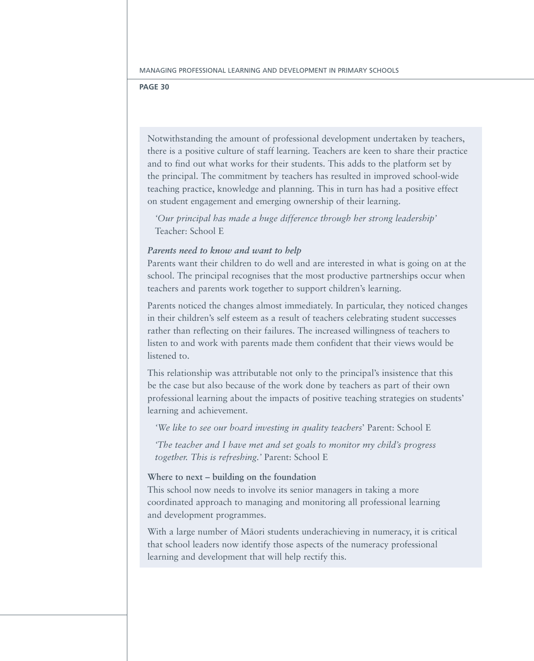Notwithstanding the amount of professional development undertaken by teachers, there is a positive culture of staff learning. Teachers are keen to share their practice and to find out what works for their students. This adds to the platform set by the principal. The commitment by teachers has resulted in improved school-wide teaching practice, knowledge and planning. This in turn has had a positive effect on student engagement and emerging ownership of their learning.

*'Our principal has made a huge difference through her strong leadership'*  Teacher: School E

### *Parents need to know and want to help*

Parents want their children to do well and are interested in what is going on at the school. The principal recognises that the most productive partnerships occur when teachers and parents work together to support children's learning.

Parents noticed the changes almost immediately. In particular, they noticed changes in their children's self esteem as a result of teachers celebrating student successes rather than reflecting on their failures. The increased willingness of teachers to listen to and work with parents made them confident that their views would be listened to.

This relationship was attributable not only to the principal's insistence that this be the case but also because of the work done by teachers as part of their own professional learning about the impacts of positive teaching strategies on students' learning and achievement.

*'We like to see our board investing in quality teachers*' Parent: School E

*'The teacher and I have met and set goals to monitor my child's progress together. This is refreshing.'* Parent: School E

### **Where to next – building on the foundation**

This school now needs to involve its senior managers in taking a more coordinated approach to managing and monitoring all professional learning and development programmes.

With a large number of Māori students underachieving in numeracy, it is critical that school leaders now identify those aspects of the numeracy professional learning and development that will help rectify this.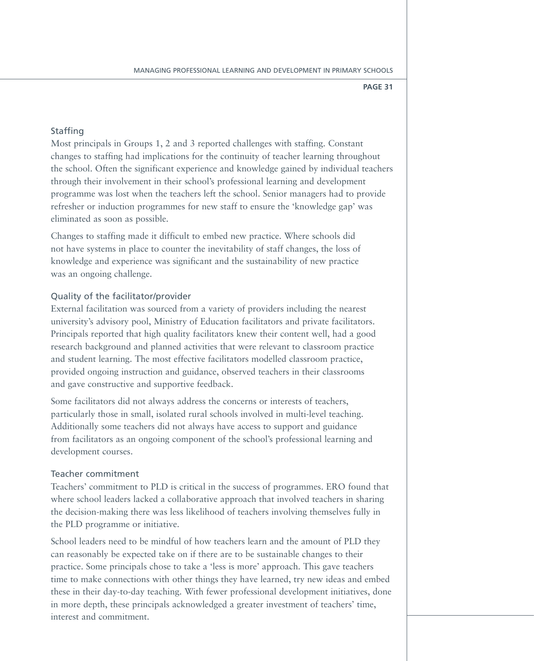### **Staffing**

Most principals in Groups 1, 2 and 3 reported challenges with staffing. Constant changes to staffing had implications for the continuity of teacher learning throughout the school. Often the significant experience and knowledge gained by individual teachers through their involvement in their school's professional learning and development programme was lost when the teachers left the school. Senior managers had to provide refresher or induction programmes for new staff to ensure the 'knowledge gap' was eliminated as soon as possible.

Changes to staffing made it difficult to embed new practice. Where schools did not have systems in place to counter the inevitability of staff changes, the loss of knowledge and experience was significant and the sustainability of new practice was an ongoing challenge.

### Quality of the facilitator/provider

External facilitation was sourced from a variety of providers including the nearest university's advisory pool, Ministry of Education facilitators and private facilitators. Principals reported that high quality facilitators knew their content well, had a good research background and planned activities that were relevant to classroom practice and student learning. The most effective facilitators modelled classroom practice, provided ongoing instruction and guidance, observed teachers in their classrooms and gave constructive and supportive feedback.

Some facilitators did not always address the concerns or interests of teachers, particularly those in small, isolated rural schools involved in multi-level teaching. Additionally some teachers did not always have access to support and guidance from facilitators as an ongoing component of the school's professional learning and development courses.

### Teacher commitment

Teachers' commitment to PLD is critical in the success of programmes. ERO found that where school leaders lacked a collaborative approach that involved teachers in sharing the decision-making there was less likelihood of teachers involving themselves fully in the PLD programme or initiative.

School leaders need to be mindful of how teachers learn and the amount of PLD they can reasonably be expected take on if there are to be sustainable changes to their practice. Some principals chose to take a 'less is more' approach. This gave teachers time to make connections with other things they have learned, try new ideas and embed these in their day-to-day teaching. With fewer professional development initiatives, done in more depth, these principals acknowledged a greater investment of teachers' time, interest and commitment.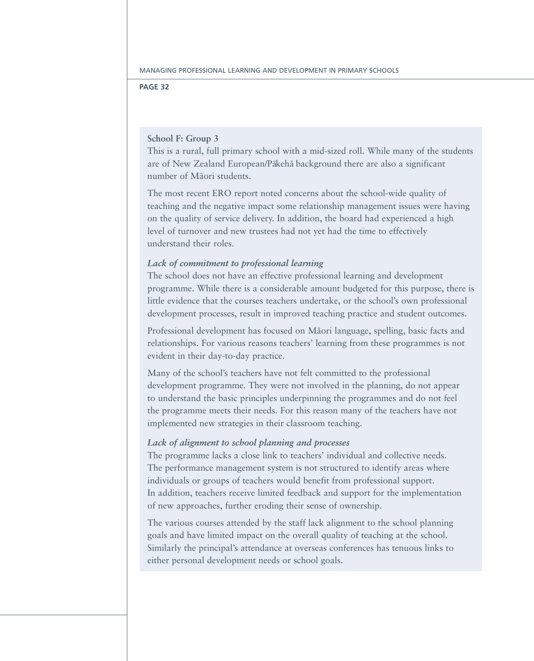### **School F: Group 3**

This is a rural, full primary school with a mid-sized roll. While many of the students are of New Zealand European/Pākehā background there are also a significant number of Māori students.

The most recent ERO report noted concerns about the school-wide quality of teaching and the negative impact some relationship management issues were having on the quality of service delivery. In addition, the board had experienced a high level of turnover and new trustees had not yet had the time to effectively understand their roles.

### *Lack of commitment to professional learning*

The school does not have an effective professional learning and development programme. While there is a considerable amount budgeted for this purpose, there is little evidence that the courses teachers undertake, or the school's own professional development processes, result in improved teaching practice and student outcomes.

Professional development has focused on Māori language, spelling, basic facts and relationships. For various reasons teachers' learning from these programmes is not evident in their day-to-day practice.

Many of the school's teachers have not felt committed to the professional development programme. They were not involved in the planning, do not appear to understand the basic principles underpinning the programmes and do not feel the programme meets their needs. For this reason many of the teachers have not implemented new strategies in their classroom teaching.

### *Lack of alignment to school planning and processes*

The programme lacks a close link to teachers' individual and collective needs. The performance management system is not structured to identify areas where individuals or groups of teachers would benefit from professional support. In addition, teachers receive limited feedback and support for the implementation of new approaches, further eroding their sense of ownership.

The various courses attended by the staff lack alignment to the school planning goals and have limited impact on the overall quality of teaching at the school. Similarly the principal's attendance at overseas conferences has tenuous links to either personal development needs or school goals.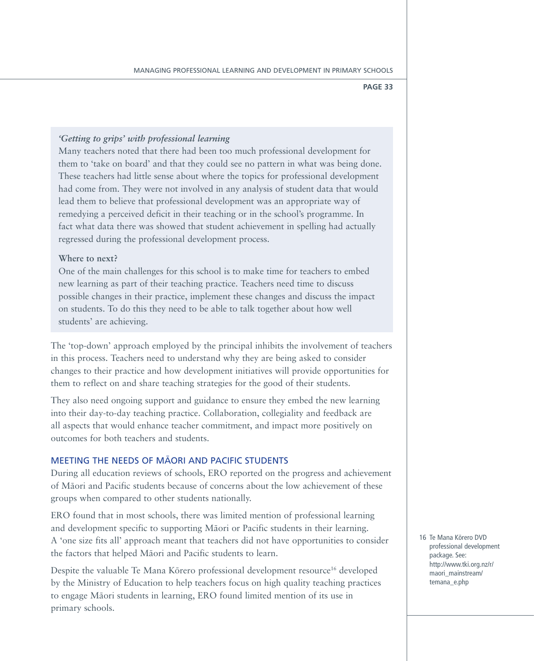### *'Getting to grips' with professional learning*

Many teachers noted that there had been too much professional development for them to 'take on board' and that they could see no pattern in what was being done. These teachers had little sense about where the topics for professional development had come from. They were not involved in any analysis of student data that would lead them to believe that professional development was an appropriate way of remedying a perceived deficit in their teaching or in the school's programme. In fact what data there was showed that student achievement in spelling had actually regressed during the professional development process.

### **Where to next?**

One of the main challenges for this school is to make time for teachers to embed new learning as part of their teaching practice. Teachers need time to discuss possible changes in their practice, implement these changes and discuss the impact on students. To do this they need to be able to talk together about how well students' are achieving.

The 'top-down' approach employed by the principal inhibits the involvement of teachers in this process. Teachers need to understand why they are being asked to consider changes to their practice and how development initiatives will provide opportunities for them to reflect on and share teaching strategies for the good of their students.

They also need ongoing support and guidance to ensure they embed the new learning into their day-to-day teaching practice. Collaboration, collegiality and feedback are all aspects that would enhance teacher commitment, and impact more positively on outcomes for both teachers and students.

### MEETING THE NEEDS OF MAORI AND PACIFIC STUDENTS

During all education reviews of schools, ERO reported on the progress and achievement of Māori and Pacific students because of concerns about the low achievement of these groups when compared to other students nationally.

ERO found that in most schools, there was limited mention of professional learning and development specific to supporting Maori or Pacific students in their learning. A 'one size fits all' approach meant that teachers did not have opportunities to consider the factors that helped Māori and Pacific students to learn.

Despite the valuable Te Mana Kōrero professional development resource<sup>16</sup> developed by the Ministry of Education to help teachers focus on high quality teaching practices to engage Māori students in learning, ERO found limited mention of its use in primary schools.

16 Te Mana Körero DVD professional development package. See: http://www.tki.org.nz/r/ maori\_mainstream/ temana\_e.php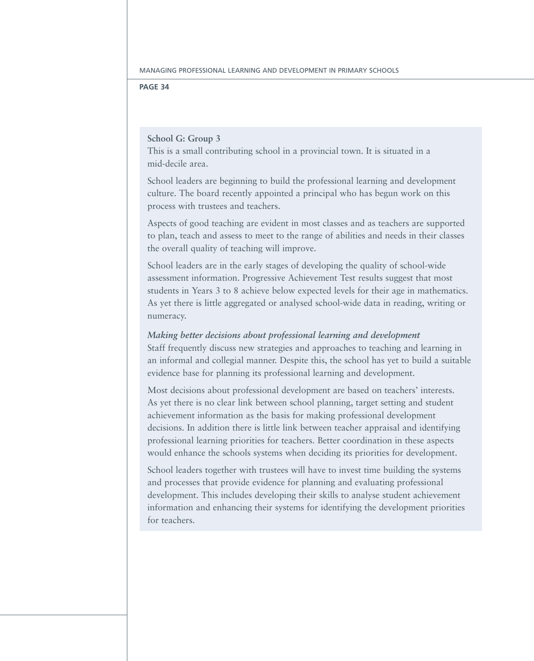### **School G: Group 3**

This is a small contributing school in a provincial town. It is situated in a mid-decile area.

School leaders are beginning to build the professional learning and development culture. The board recently appointed a principal who has begun work on this process with trustees and teachers.

Aspects of good teaching are evident in most classes and as teachers are supported to plan, teach and assess to meet to the range of abilities and needs in their classes the overall quality of teaching will improve.

School leaders are in the early stages of developing the quality of school-wide assessment information. Progressive Achievement Test results suggest that most students in Years 3 to 8 achieve below expected levels for their age in mathematics. As yet there is little aggregated or analysed school-wide data in reading, writing or numeracy.

### *Making better decisions about professional learning and development*

Staff frequently discuss new strategies and approaches to teaching and learning in an informal and collegial manner. Despite this, the school has yet to build a suitable evidence base for planning its professional learning and development.

Most decisions about professional development are based on teachers' interests. As yet there is no clear link between school planning, target setting and student achievement information as the basis for making professional development decisions. In addition there is little link between teacher appraisal and identifying professional learning priorities for teachers. Better coordination in these aspects would enhance the schools systems when deciding its priorities for development.

School leaders together with trustees will have to invest time building the systems and processes that provide evidence for planning and evaluating professional development. This includes developing their skills to analyse student achievement information and enhancing their systems for identifying the development priorities for teachers.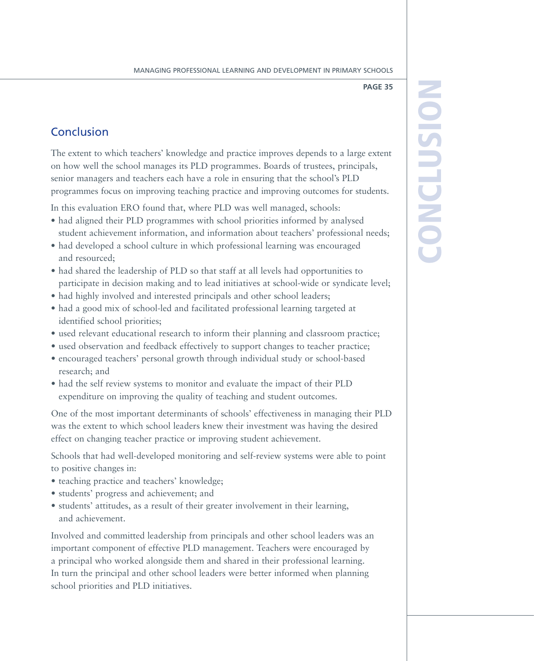### Conclusion

The extent to which teachers' knowledge and practice improves depends to a large extent on how well the school manages its PLD programmes. Boards of trustees, principals, senior managers and teachers each have a role in ensuring that the school's PLD programmes focus on improving teaching practice and improving outcomes for students.

In this evaluation ERO found that, where PLD was well managed, schools:

- had aligned their PLD programmes with school priorities informed by analysed student achievement information, and information about teachers' professional needs;
- had developed a school culture in which professional learning was encouraged and resourced;
- had shared the leadership of PLD so that staff at all levels had opportunities to participate in decision making and to lead initiatives at school-wide or syndicate level;
- had highly involved and interested principals and other school leaders;
- had a good mix of school-led and facilitated professional learning targeted at identified school priorities;
- used relevant educational research to inform their planning and classroom practice;
- used observation and feedback effectively to support changes to teacher practice;
- encouraged teachers' personal growth through individual study or school-based research; and
- had the self review systems to monitor and evaluate the impact of their PLD expenditure on improving the quality of teaching and student outcomes.

One of the most important determinants of schools' effectiveness in managing their PLD was the extent to which school leaders knew their investment was having the desired effect on changing teacher practice or improving student achievement.

Schools that had well-developed monitoring and self-review systems were able to point to positive changes in:

- teaching practice and teachers' knowledge;
- • students' progress and achievement; and
- students' attitudes, as a result of their greater involvement in their learning, and achievement.

Involved and committed leadership from principals and other school leaders was an important component of effective PLD management. Teachers were encouraged by a principal who worked alongside them and shared in their professional learning. In turn the principal and other school leaders were better informed when planning school priorities and PLD initiatives.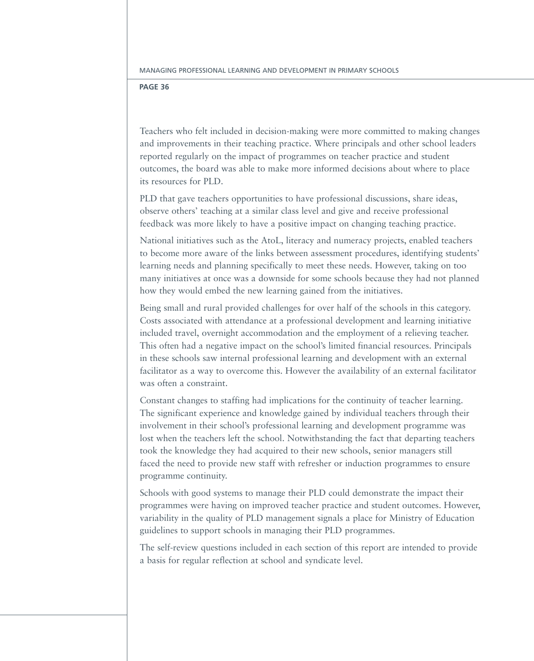Teachers who felt included in decision-making were more committed to making changes and improvements in their teaching practice. Where principals and other school leaders reported regularly on the impact of programmes on teacher practice and student outcomes, the board was able to make more informed decisions about where to place its resources for PLD.

PLD that gave teachers opportunities to have professional discussions, share ideas, observe others' teaching at a similar class level and give and receive professional feedback was more likely to have a positive impact on changing teaching practice.

National initiatives such as the AtoL, literacy and numeracy projects, enabled teachers to become more aware of the links between assessment procedures, identifying students' learning needs and planning specifically to meet these needs. However, taking on too many initiatives at once was a downside for some schools because they had not planned how they would embed the new learning gained from the initiatives.

Being small and rural provided challenges for over half of the schools in this category. Costs associated with attendance at a professional development and learning initiative included travel, overnight accommodation and the employment of a relieving teacher. This often had a negative impact on the school's limited financial resources. Principals in these schools saw internal professional learning and development with an external facilitator as a way to overcome this. However the availability of an external facilitator was often a constraint.

Constant changes to staffing had implications for the continuity of teacher learning. The significant experience and knowledge gained by individual teachers through their involvement in their school's professional learning and development programme was lost when the teachers left the school. Notwithstanding the fact that departing teachers took the knowledge they had acquired to their new schools, senior managers still faced the need to provide new staff with refresher or induction programmes to ensure programme continuity.

Schools with good systems to manage their PLD could demonstrate the impact their programmes were having on improved teacher practice and student outcomes. However, variability in the quality of PLD management signals a place for Ministry of Education guidelines to support schools in managing their PLD programmes.

The self-review questions included in each section of this report are intended to provide a basis for regular reflection at school and syndicate level.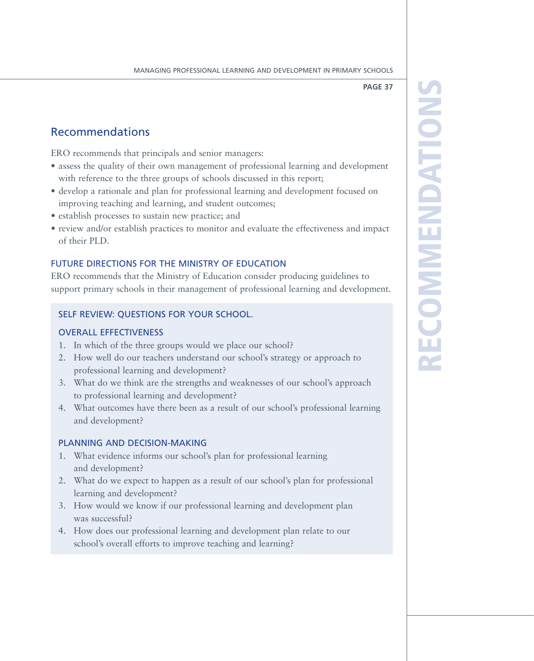RZ e  $\overline{\mathbf{C}}$ 

**OMM** 

endations

### Recommendations

ERO recommends that principals and senior managers:

- assess the quality of their own management of professional learning and development with reference to the three groups of schools discussed in this report;
- • develop a rationale and plan for professional learning and development focused on improving teaching and learning, and student outcomes;
- establish processes to sustain new practice; and
- review and/or establish practices to monitor and evaluate the effectiveness and impact of their PLD.

### FUTURE DIRECTIONS FOR THE MINISTRY OF EDUCATION

ERO recommends that the Ministry of Education consider producing guidelines to support primary schools in their management of professional learning and development.

### Self review: Questions for your school.

### Overall effectiveness

- 1. In which of the three groups would we place our school?
- 2. How well do our teachers understand our school's strategy or approach to professional learning and development?
- 3. What do we think are the strengths and weaknesses of our school's approach to professional learning and development?
- 4. What outcomes have there been as a result of our school's professional learning and development?

### Planning and decision-making

- 1. What evidence informs our school's plan for professional learning and development?
- 2. What do we expect to happen as a result of our school's plan for professional learning and development?
- 3. How would we know if our professional learning and development plan was successful?
- 4. How does our professional learning and development plan relate to our school's overall efforts to improve teaching and learning?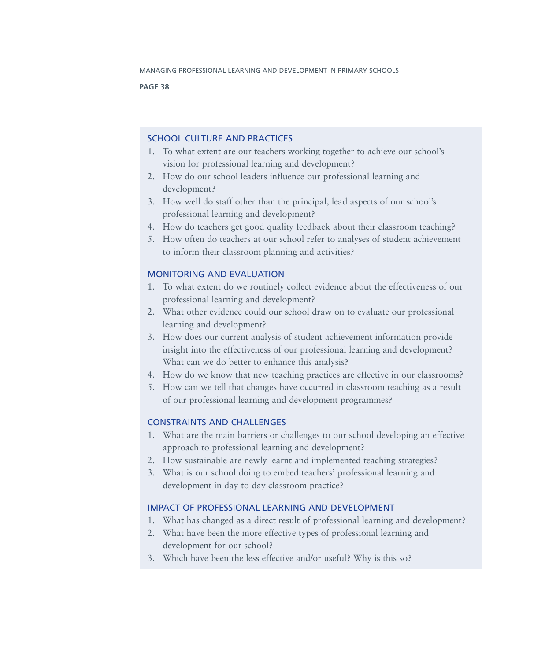### School culture and practices

- 1. To what extent are our teachers working together to achieve our school's vision for professional learning and development?
- 2. How do our school leaders influence our professional learning and development?
- 3. How well do staff other than the principal, lead aspects of our school's professional learning and development?
- 4. How do teachers get good quality feedback about their classroom teaching?
- 5. How often do teachers at our school refer to analyses of student achievement to inform their classroom planning and activities?

### Monitoring and evaluation

- 1. To what extent do we routinely collect evidence about the effectiveness of our professional learning and development?
- 2. What other evidence could our school draw on to evaluate our professional learning and development?
- 3. How does our current analysis of student achievement information provide insight into the effectiveness of our professional learning and development? What can we do better to enhance this analysis?
- 4. How do we know that new teaching practices are effective in our classrooms?
- 5. How can we tell that changes have occurred in classroom teaching as a result of our professional learning and development programmes?

### Constraints and challenges

- 1. What are the main barriers or challenges to our school developing an effective approach to professional learning and development?
- 2. How sustainable are newly learnt and implemented teaching strategies?
- 3. What is our school doing to embed teachers' professional learning and development in day-to-day classroom practice?

### Impact of professional learning and development

- 1. What has changed as a direct result of professional learning and development?
- 2. What have been the more effective types of professional learning and development for our school?
- 3. Which have been the less effective and/or useful? Why is this so?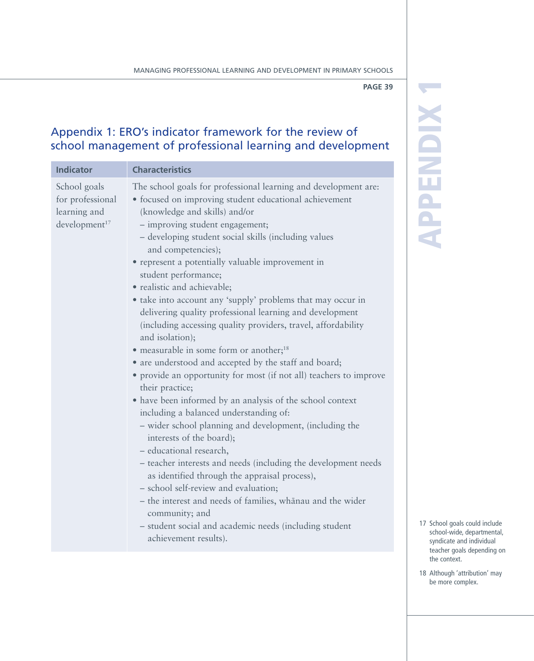App

en<br>En

ix 1

### Appendix 1: ERO's indicator framework for the review of school management of professional learning and development

| <b>Indicator</b>                                                              | <b>Characteristics</b>                                                                                                                                                                                                                                                                                                                                                                                                                                                                                                                                                                                                                                                                                                                                                                                                                                                                                                                                                                                                                                                                                                                                                                                                                                                                                                                                                 |
|-------------------------------------------------------------------------------|------------------------------------------------------------------------------------------------------------------------------------------------------------------------------------------------------------------------------------------------------------------------------------------------------------------------------------------------------------------------------------------------------------------------------------------------------------------------------------------------------------------------------------------------------------------------------------------------------------------------------------------------------------------------------------------------------------------------------------------------------------------------------------------------------------------------------------------------------------------------------------------------------------------------------------------------------------------------------------------------------------------------------------------------------------------------------------------------------------------------------------------------------------------------------------------------------------------------------------------------------------------------------------------------------------------------------------------------------------------------|
| School goals<br>for professional<br>learning and<br>development <sup>17</sup> | The school goals for professional learning and development are:<br>• focused on improving student educational achievement<br>(knowledge and skills) and/or<br>- improving student engagement;<br>- developing student social skills (including values<br>and competencies);<br>• represent a potentially valuable improvement in<br>student performance;<br>· realistic and achievable;<br>• take into account any 'supply' problems that may occur in<br>delivering quality professional learning and development<br>(including accessing quality providers, travel, affordability<br>and isolation);<br>• measurable in some form or another; <sup>18</sup><br>• are understood and accepted by the staff and board;<br>• provide an opportunity for most (if not all) teachers to improve<br>their practice;<br>• have been informed by an analysis of the school context<br>including a balanced understanding of:<br>- wider school planning and development, (including the<br>interests of the board);<br>- educational research,<br>- teacher interests and needs (including the development needs<br>as identified through the appraisal process),<br>- school self-review and evaluation;<br>- the interest and needs of families, whanau and the wider<br>community; and<br>- student social and academic needs (including student<br>achievement results). |

- 17 School goals could include school-wide, departmental, syndicate and individual teacher goals depending on the context.
- 18 Although 'attribution' may be more complex.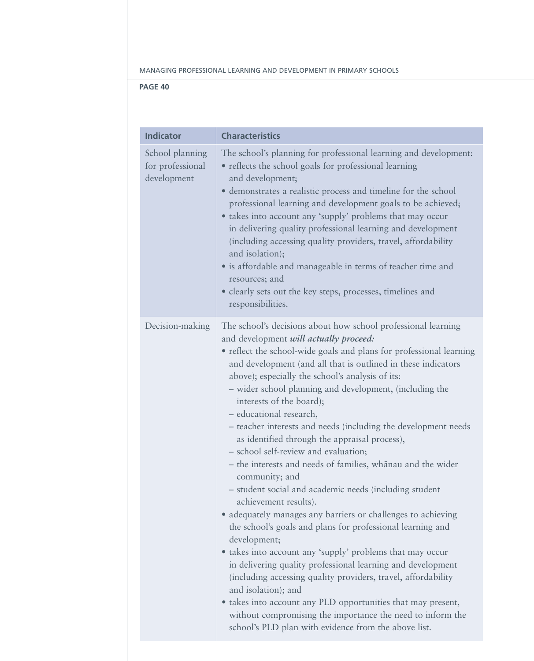| <b>Indicator</b>                                   | <b>Characteristics</b>                                                                                                                                                                                                                                                                                                                                                                                                                                                                                                                                                                                                                                                                                                                                                                                                                                                                                                                                                                                                                                                                                                                                                                                                                                                                                       |
|----------------------------------------------------|--------------------------------------------------------------------------------------------------------------------------------------------------------------------------------------------------------------------------------------------------------------------------------------------------------------------------------------------------------------------------------------------------------------------------------------------------------------------------------------------------------------------------------------------------------------------------------------------------------------------------------------------------------------------------------------------------------------------------------------------------------------------------------------------------------------------------------------------------------------------------------------------------------------------------------------------------------------------------------------------------------------------------------------------------------------------------------------------------------------------------------------------------------------------------------------------------------------------------------------------------------------------------------------------------------------|
| School planning<br>for professional<br>development | The school's planning for professional learning and development:<br>• reflects the school goals for professional learning<br>and development;<br>• demonstrates a realistic process and timeline for the school<br>professional learning and development goals to be achieved;<br>• takes into account any 'supply' problems that may occur<br>in delivering quality professional learning and development<br>(including accessing quality providers, travel, affordability<br>and isolation);<br>· is affordable and manageable in terms of teacher time and<br>resources; and<br>• clearly sets out the key steps, processes, timelines and<br>responsibilities.                                                                                                                                                                                                                                                                                                                                                                                                                                                                                                                                                                                                                                           |
| Decision-making                                    | The school's decisions about how school professional learning<br>and development will actually proceed:<br>• reflect the school-wide goals and plans for professional learning<br>and development (and all that is outlined in these indicators<br>above); especially the school's analysis of its:<br>- wider school planning and development, (including the<br>interests of the board);<br>- educational research,<br>- teacher interests and needs (including the development needs<br>as identified through the appraisal process),<br>- school self-review and evaluation;<br>- the interests and needs of families, whanau and the wider<br>community; and<br>- student social and academic needs (including student<br>achievement results).<br>• adequately manages any barriers or challenges to achieving<br>the school's goals and plans for professional learning and<br>development;<br>· takes into account any 'supply' problems that may occur<br>in delivering quality professional learning and development<br>(including accessing quality providers, travel, affordability<br>and isolation); and<br>• takes into account any PLD opportunities that may present,<br>without compromising the importance the need to inform the<br>school's PLD plan with evidence from the above list. |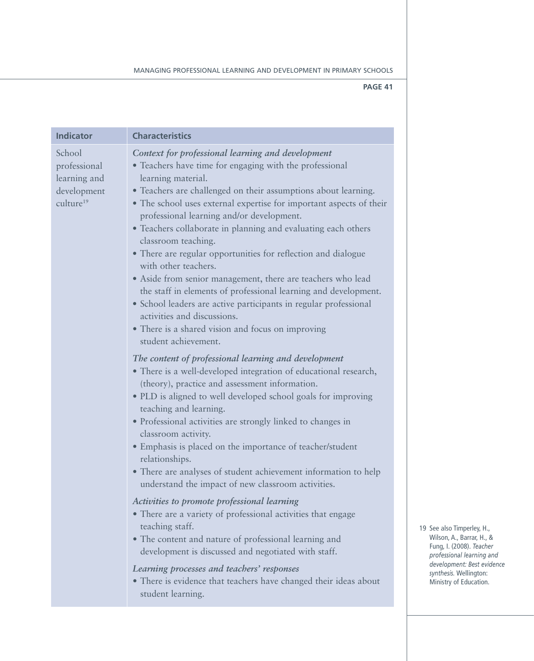| <b>Indicator</b>                                                               | <b>Characteristics</b>                                                                                                                                                                                                                                                                                                                                                                                                                                                                                                                                                                                                                                                                                                                                                                                                      |
|--------------------------------------------------------------------------------|-----------------------------------------------------------------------------------------------------------------------------------------------------------------------------------------------------------------------------------------------------------------------------------------------------------------------------------------------------------------------------------------------------------------------------------------------------------------------------------------------------------------------------------------------------------------------------------------------------------------------------------------------------------------------------------------------------------------------------------------------------------------------------------------------------------------------------|
| School<br>professional<br>learning and<br>development<br>culture <sup>19</sup> | Context for professional learning and development<br>• Teachers have time for engaging with the professional<br>learning material.<br>• Teachers are challenged on their assumptions about learning.<br>• The school uses external expertise for important aspects of their<br>professional learning and/or development.<br>• Teachers collaborate in planning and evaluating each others<br>classroom teaching.<br>• There are regular opportunities for reflection and dialogue<br>with other teachers.<br>• Aside from senior management, there are teachers who lead<br>the staff in elements of professional learning and development.<br>• School leaders are active participants in regular professional<br>activities and discussions.<br>• There is a shared vision and focus on improving<br>student achievement. |
|                                                                                | The content of professional learning and development<br>• There is a well-developed integration of educational research,<br>(theory), practice and assessment information.<br>• PLD is aligned to well developed school goals for improving<br>teaching and learning.<br>· Professional activities are strongly linked to changes in<br>classroom activity.<br>• Emphasis is placed on the importance of teacher/student<br>relationships.<br>• There are analyses of student achievement information to help<br>understand the impact of new classroom activities.                                                                                                                                                                                                                                                         |
|                                                                                | Activities to promote professional learning<br>• There are a variety of professional activities that engage<br>teaching staff.<br>• The content and nature of professional learning and<br>development is discussed and negotiated with staff.<br>Learning processes and teachers' responses<br>• There is evidence that teachers have changed their ideas about<br>student learning.                                                                                                                                                                                                                                                                                                                                                                                                                                       |

19 See also Timperley, H., Wilson, A., Barrar, H., & Fung, I. (2008). *Teacher professional learning and development: Best evidence synthesis.* Wellington: Ministry of Education.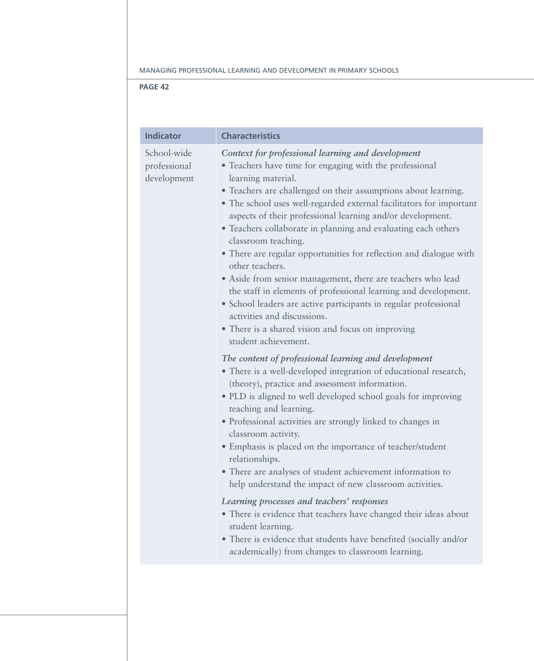| <b>Indicator</b>                           | <b>Characteristics</b>                                                                                                                                                                                                                                                                                                                                                                                                                                                                                                                                                                                                                                                                                                                                                                                                                                                                                                                                                                                                                                                                                                                                                                                                                                                                                                                                                                                                                                                                                                                                                                                                                                                               |
|--------------------------------------------|--------------------------------------------------------------------------------------------------------------------------------------------------------------------------------------------------------------------------------------------------------------------------------------------------------------------------------------------------------------------------------------------------------------------------------------------------------------------------------------------------------------------------------------------------------------------------------------------------------------------------------------------------------------------------------------------------------------------------------------------------------------------------------------------------------------------------------------------------------------------------------------------------------------------------------------------------------------------------------------------------------------------------------------------------------------------------------------------------------------------------------------------------------------------------------------------------------------------------------------------------------------------------------------------------------------------------------------------------------------------------------------------------------------------------------------------------------------------------------------------------------------------------------------------------------------------------------------------------------------------------------------------------------------------------------------|
| School-wide<br>professional<br>development | Context for professional learning and development<br>• Teachers have time for engaging with the professional<br>learning material.<br>• Teachers are challenged on their assumptions about learning.<br>• The school uses well-regarded external facilitators for important<br>aspects of their professional learning and/or development.<br>• Teachers collaborate in planning and evaluating each others<br>classroom teaching.<br>• There are regular opportunities for reflection and dialogue with<br>other teachers.<br>• Aside from senior management, there are teachers who lead<br>the staff in elements of professional learning and development.<br>· School leaders are active participants in regular professional<br>activities and discussions.<br>• There is a shared vision and focus on improving<br>student achievement.<br>The content of professional learning and development<br>• There is a well-developed integration of educational research,<br>(theory), practice and assessment information.<br>• PLD is aligned to well developed school goals for improving<br>teaching and learning.<br>· Professional activities are strongly linked to changes in<br>classroom activity.<br>• Emphasis is placed on the importance of teacher/student<br>relationships.<br>• There are analyses of student achievement information to<br>help understand the impact of new classroom activities.<br>Learning processes and teachers' responses<br>• There is evidence that teachers have changed their ideas about<br>student learning.<br>• There is evidence that students have benefited (socially and/or<br>academically) from changes to classroom learning. |
|                                            |                                                                                                                                                                                                                                                                                                                                                                                                                                                                                                                                                                                                                                                                                                                                                                                                                                                                                                                                                                                                                                                                                                                                                                                                                                                                                                                                                                                                                                                                                                                                                                                                                                                                                      |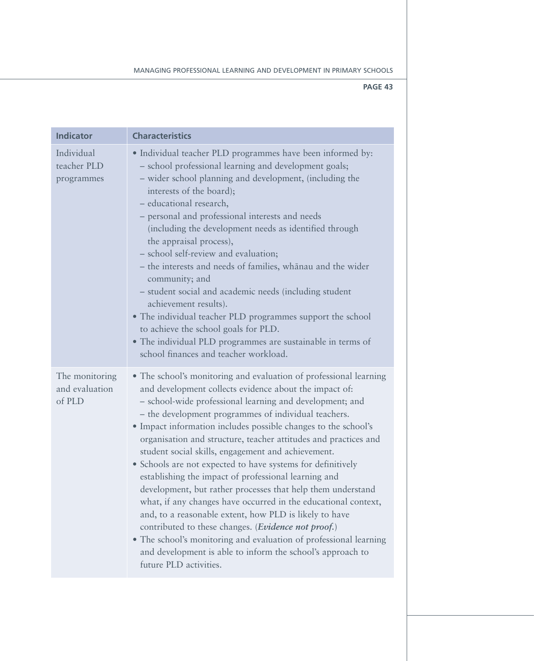| <b>Indicator</b>                           | <b>Characteristics</b>                                                                                                                                                                                                                                                                                                                                                                                                                                                                                                                                                                                                                                                                                                                                                                                                                                                                                                                                                                    |
|--------------------------------------------|-------------------------------------------------------------------------------------------------------------------------------------------------------------------------------------------------------------------------------------------------------------------------------------------------------------------------------------------------------------------------------------------------------------------------------------------------------------------------------------------------------------------------------------------------------------------------------------------------------------------------------------------------------------------------------------------------------------------------------------------------------------------------------------------------------------------------------------------------------------------------------------------------------------------------------------------------------------------------------------------|
| Individual<br>teacher PLD<br>programmes    | • Individual teacher PLD programmes have been informed by:<br>- school professional learning and development goals;<br>- wider school planning and development, (including the<br>interests of the board);<br>- educational research,<br>- personal and professional interests and needs<br>(including the development needs as identified through<br>the appraisal process),<br>- school self-review and evaluation;<br>- the interests and needs of families, whānau and the wider<br>community; and<br>- student social and academic needs (including student<br>achievement results).<br>• The individual teacher PLD programmes support the school<br>to achieve the school goals for PLD.<br>• The individual PLD programmes are sustainable in terms of<br>school finances and teacher workload.                                                                                                                                                                                   |
| The monitoring<br>and evaluation<br>of PLD | • The school's monitoring and evaluation of professional learning<br>and development collects evidence about the impact of:<br>- school-wide professional learning and development; and<br>- the development programmes of individual teachers.<br>• Impact information includes possible changes to the school's<br>organisation and structure, teacher attitudes and practices and<br>student social skills, engagement and achievement.<br>• Schools are not expected to have systems for definitively<br>establishing the impact of professional learning and<br>development, but rather processes that help them understand<br>what, if any changes have occurred in the educational context,<br>and, to a reasonable extent, how PLD is likely to have<br>contributed to these changes. ( <i>Evidence not proof.</i> )<br>• The school's monitoring and evaluation of professional learning<br>and development is able to inform the school's approach to<br>future PLD activities. |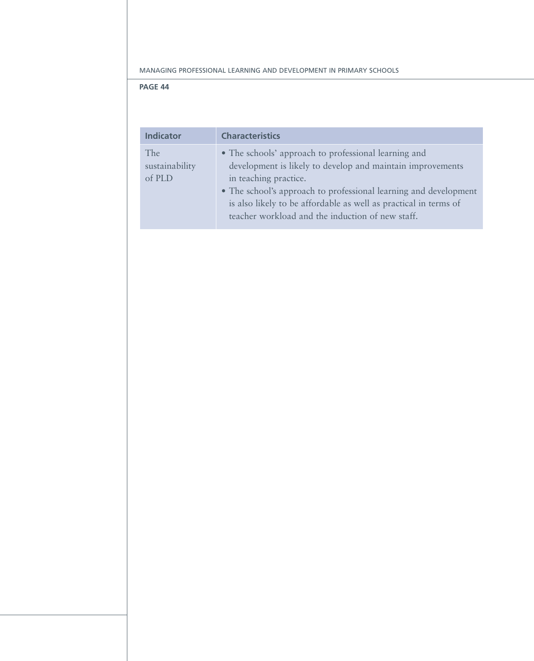| <b>Indicator</b> | <b>Characteristics</b>                                           |
|------------------|------------------------------------------------------------------|
| <b>The</b>       | • The schools' approach to professional learning and             |
| sustainability   | development is likely to develop and maintain improvements       |
| of PLD           | in teaching practice.                                            |
|                  | • The school's approach to professional learning and development |
|                  | is also likely to be affordable as well as practical in terms of |
|                  | teacher workload and the induction of new staff.                 |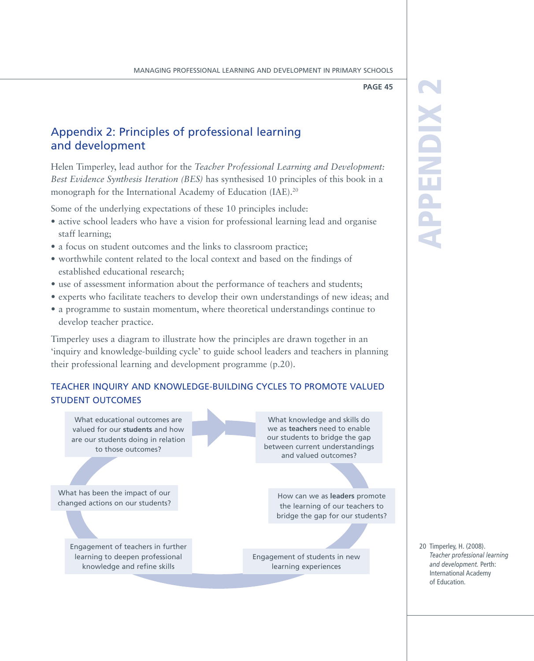### Appendix 2: Principles of professional learning and development

Helen Timperley, lead author for the *Teacher Professional Learning and Development: Best Evidence Synthesis Iteration (BES)* has synthesised 10 principles of this book in a monograph for the International Academy of Education (IAE).<sup>20</sup>

Some of the underlying expectations of these 10 principles include:

- active school leaders who have a vision for professional learning lead and organise staff learning;
- a focus on student outcomes and the links to classroom practice;
- worthwhile content related to the local context and based on the findings of established educational research;
- use of assessment information about the performance of teachers and students;
- experts who facilitate teachers to develop their own understandings of new ideas; and
- a programme to sustain momentum, where theoretical understandings continue to develop teacher practice.

Timperley uses a diagram to illustrate how the principles are drawn together in an 'inquiry and knowledge-building cycle' to guide school leaders and teachers in planning their professional learning and development programme (p.20).

### Teacher inquiry and knowledge-building cycles to promote valued student outcomes

What educational outcomes are valued for our **students** and how are our students doing in relation to those outcomes?

What has been the impact of our changed actions on our students?

> Engagement of teachers in further learning to deepen professional knowledge and refine skills

What knowledge and skills do we as **teachers** need to enable our students to bridge the gap between current understandings and valued outcomes?

> How can we as **leaders** promote the learning of our teachers to bridge the gap for our students?

Engagement of students in new learning experiences

## App en<br>En ix 2

20 Timperley, H. (2008). *Teacher professional learning and development.* Perth: International Academy of Education.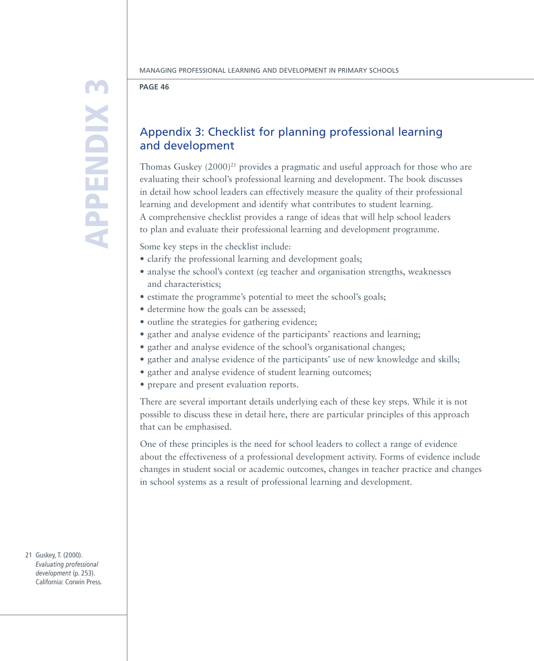App e<br>En  $\mathbf{X}$ 

### **Page 46**

### Appendix 3: Checklist for planning professional learning and development

Thomas Guskey  $(2000)^{21}$  provides a pragmatic and useful approach for those who are evaluating their school's professional learning and development. The book discusses in detail how school leaders can effectively measure the quality of their professional learning and development and identify what contributes to student learning. A comprehensive checklist provides a range of ideas that will help school leaders to plan and evaluate their professional learning and development programme.

Some key steps in the checklist include:

- clarify the professional learning and development goals;
- • analyse the school's context (eg teacher and organisation strengths, weaknesses and characteristics;
- estimate the programme's potential to meet the school's goals;
- determine how the goals can be assessed;
- outline the strategies for gathering evidence;
- gather and analyse evidence of the participants' reactions and learning;
- gather and analyse evidence of the school's organisational changes;
- gather and analyse evidence of the participants' use of new knowledge and skills;
- gather and analyse evidence of student learning outcomes;
- prepare and present evaluation reports.

There are several important details underlying each of these key steps. While it is not possible to discuss these in detail here, there are particular principles of this approach that can be emphasised.

One of these principles is the need for school leaders to collect a range of evidence about the effectiveness of a professional development activity. Forms of evidence include changes in student social or academic outcomes, changes in teacher practice and changes in school systems as a result of professional learning and development.

21 Guskey, T. (2000). *Evaluating professional development* (p. 253). California: Corwin Press.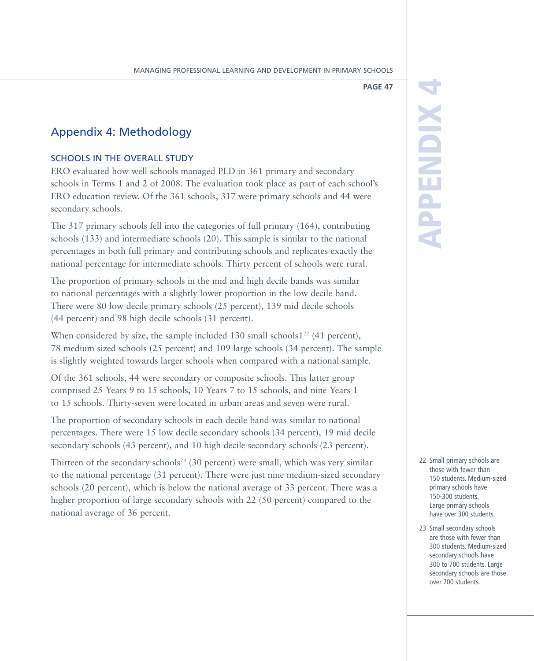### Appendix 4: Methodology

### SCHOOLS IN THE OVERALL STUDY

ERO evaluated how well schools managed PLD in 361 primary and secondary schools in Terms 1 and 2 of 2008. The evaluation took place as part of each school's ERO education review. Of the 361 schools, 317 were primary schools and 44 were secondary schools.

The 317 primary schools fell into the categories of full primary (164), contributing schools (133) and intermediate schools (20). This sample is similar to the national percentages in both full primary and contributing schools and replicates exactly the national percentage for intermediate schools. Thirty percent of schools were rural.

The proportion of primary schools in the mid and high decile bands was similar to national percentages with a slightly lower proportion in the low decile band. There were 80 low decile primary schools (25 percent), 139 mid decile schools (44 percent) and 98 high decile schools (31 percent).

When considered by size, the sample included 130 small schools1<sup>22</sup> (41 percent), 78 medium sized schools (25 percent) and 109 large schools (34 percent). The sample is slightly weighted towards larger schools when compared with a national sample.

Of the 361 schools, 44 were secondary or composite schools. This latter group comprised 25 Years 9 to 15 schools, 10 Years 7 to 15 schools, and nine Years 1 to 15 schools. Thirty-seven were located in urban areas and seven were rural.

The proportion of secondary schools in each decile band was similar to national percentages. There were 15 low decile secondary schools (34 percent), 19 mid decile secondary schools (43 percent), and 10 high decile secondary schools (23 percent).

Thirteen of the secondary schools<sup>23</sup> (30 percent) were small, which was very similar to the national percentage (31 percent). There were just nine medium-sized secondary schools (20 percent), which is below the national average of 33 percent. There was a higher proportion of large secondary schools with 22 (50 percent) compared to the national average of 36 percent.

## App en<br>En ix 4

- 22 Small primary schools are those with fewer than 150 students. Medium-sized primary schools have 150-300 students. Large primary schools have over 300 students.
- 23 Small secondary schools are those with fewer than 300 students. Medium-sized secondary schools have 300 to 700 students. Large secondary schools are those over 700 students.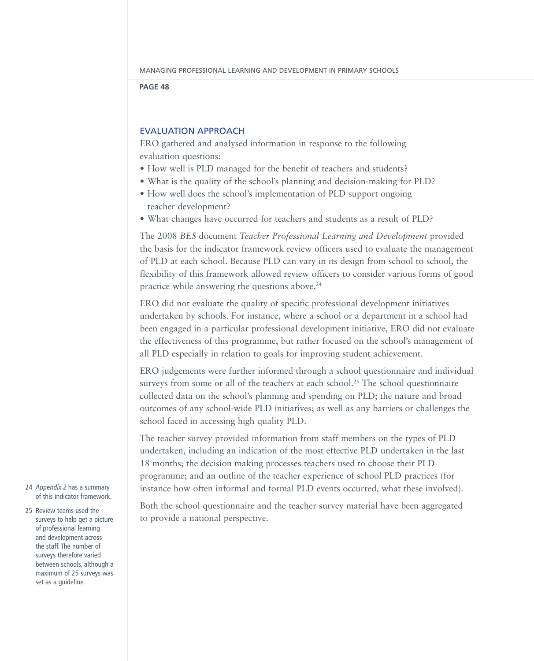### Evaluation approach

ERO gathered and analysed information in response to the following evaluation questions:

- How well is PLD managed for the benefit of teachers and students?
- What is the quality of the school's planning and decision-making for PLD?
- How well does the school's implementation of PLD support ongoing teacher development?
- What changes have occurred for teachers and students as a result of PLD?

The 2008 *BES* document *Teacher Professional Learning and Development* provided the basis for the indicator framework review officers used to evaluate the management of PLD at each school. Because PLD can vary in its design from school to school, the flexibility of this framework allowed review officers to consider various forms of good practice while answering the questions above.24

ERO did not evaluate the quality of specific professional development initiatives undertaken by schools. For instance, where a school or a department in a school had been engaged in a particular professional development initiative, ERO did not evaluate the effectiveness of this programme, but rather focused on the school's management of all PLD especially in relation to goals for improving student achievement.

ERO judgements were further informed through a school questionnaire and individual surveys from some or all of the teachers at each school.<sup>25</sup> The school questionnaire collected data on the school's planning and spending on PLD; the nature and broad outcomes of any school-wide PLD initiatives; as well as any barriers or challenges the school faced in accessing high quality PLD.

The teacher survey provided information from staff members on the types of PLD undertaken, including an indication of the most effective PLD undertaken in the last 18 months; the decision making processes teachers used to choose their PLD programme; and an outline of the teacher experience of school PLD practices (for instance how often informal and formal PLD events occurred, what these involved).

Both the school questionnaire and the teacher survey material have been aggregated to provide a national perspective.

- 24 *Appendix 2* has a summary of this indicator framework.
- 25 Review teams used the surveys to help get a picture of professional learning and development across the staff. The number of surveys therefore varied between schools, although a maximum of 25 surveys was set as a guideline.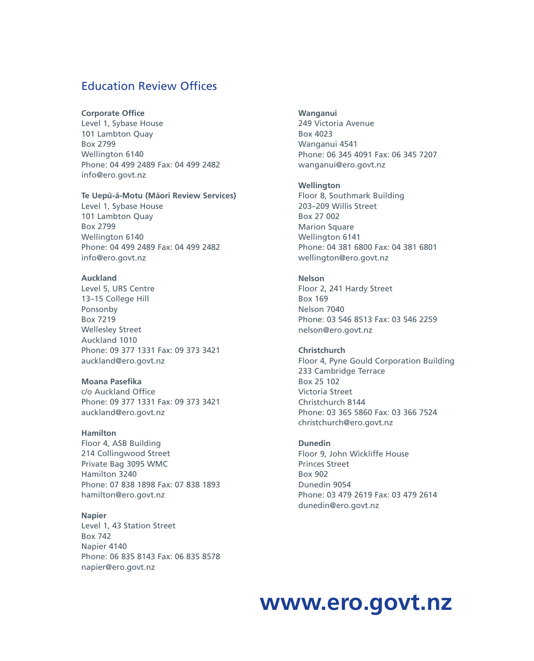### Education Review Offices

### **Corporate Office**

Level 1, Sybase House 101 Lambton Quay Box 2799 Wellington 6140 Phone: 04 499 2489 Fax: 04 499 2482 info@ero.govt.nz

### Te Uepū-ā-Motu (Māori Review Services)

Level 1, Sybase House 101 Lambton Quay Box 2799 Wellington 6140 Phone: 04 499 2489 Fax: 04 499 2482 info@ero.govt.nz

### **Auckland**

Level 5, URS Centre 13–15 College Hill Ponsonby Box 7219 Wellesley Street Auckland 1010 Phone: 09 377 1331 Fax: 09 373 3421 auckland@ero.govt.nz

### **Moana Pasefika**

c/o Auckland Office Phone: 09 377 1331 Fax: 09 373 3421 auckland@ero.govt.nz

### **Hamilton**

Floor 4, ASB Building 214 Collingwood Street Private Bag 3095 WMC Hamilton 3240 Phone: 07 838 1898 Fax: 07 838 1893 hamilton@ero.govt.nz

### **Napier**

Level 1, 43 Station Street Box 742 Napier 4140 Phone: 06 835 8143 Fax: 06 835 8578 napier@ero.govt.nz

### **Wanganui**

249 Victoria Avenue Box 4023 Wanganui 4541 Phone: 06 345 4091 Fax: 06 345 7207 wanganui@ero.govt.nz

### **Wellington**

Floor 8, Southmark Building 203–209 Willis Street Box 27 002 **Marion Square** Wellington 6141 Phone: 04 381 6800 Fax: 04 381 6801 wellington@ero.govt.nz

### **Nelson**

Floor 2, 241 Hardy Street Box 169 Nelson 7040 Phone: 03 546 8513 Fax: 03 546 2259 nelson@ero.govt.nz

### **Christchurch**

Floor 4, Pyne Gould Corporation Building 233 Cambridge Terrace Box 25 102 Victoria Street Christchurch 8144 Phone: 03 365 5860 Fax: 03 366 7524 christchurch@ero.govt.nz

### **Dunedin**

Floor 9, John Wickliffe House Princes Street Box 902 Dunedin 9054 Phone: 03 479 2619 Fax: 03 479 2614 dunedin@ero.govt.nz

### **www.ero.govt.nz**